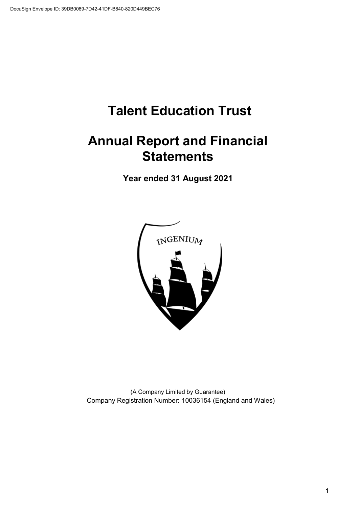## **Annual Report and Financial Statements**

**Year ended 31 August 2021** 



(A Company Limited by Guarantee) Company Registration Number: 10036154 (England and Wales)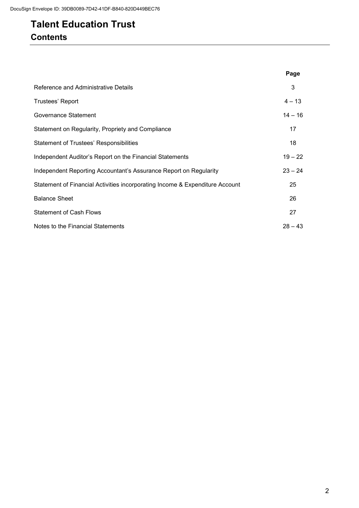### **Talent Education Trust Contents**

|                                                                              | Page      |
|------------------------------------------------------------------------------|-----------|
| Reference and Administrative Details                                         | 3         |
| Trustees' Report                                                             | $4 - 13$  |
| Governance Statement                                                         | $14 - 16$ |
| Statement on Regularity, Propriety and Compliance                            | 17        |
| <b>Statement of Trustees' Responsibilities</b>                               | 18        |
| Independent Auditor's Report on the Financial Statements                     | $19 - 22$ |
| Independent Reporting Accountant's Assurance Report on Regularity            | $23 - 24$ |
| Statement of Financial Activities incorporating Income & Expenditure Account | 25        |
| <b>Balance Sheet</b>                                                         | 26        |
| <b>Statement of Cash Flows</b>                                               | 27        |
| Notes to the Financial Statements                                            | $28 - 43$ |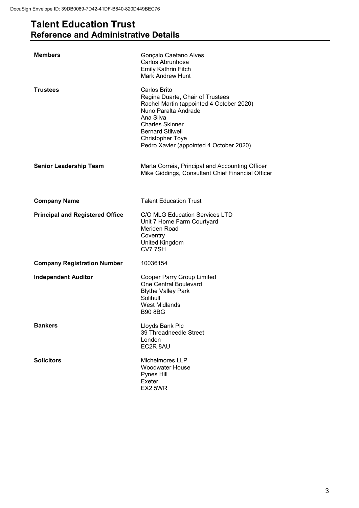### **Talent Education Trust Reference and Administrative Details**

| <b>Members</b>                         | Gonçalo Caetano Alves<br>Carlos Abrunhosa<br>Emily Kathrin Fitch<br><b>Mark Andrew Hunt</b>                                                                                                                                                                  |
|----------------------------------------|--------------------------------------------------------------------------------------------------------------------------------------------------------------------------------------------------------------------------------------------------------------|
| <b>Trustees</b>                        | Carlos Brito<br>Regina Duarte, Chair of Trustees<br>Rachel Martin (appointed 4 October 2020)<br>Nuno Paralta Andrade<br>Ana Silva<br><b>Charles Skinner</b><br><b>Bernard Stilwell</b><br><b>Christopher Toye</b><br>Pedro Xavier (appointed 4 October 2020) |
| <b>Senior Leadership Team</b>          | Marta Correia, Principal and Accounting Officer<br>Mike Giddings, Consultant Chief Financial Officer                                                                                                                                                         |
| <b>Company Name</b>                    | <b>Talent Education Trust</b>                                                                                                                                                                                                                                |
| <b>Principal and Registered Office</b> | C/O MLG Education Services LTD<br>Unit 7 Home Farm Courtyard<br>Meriden Road<br>Coventry<br>United Kingdom<br>CV77SH                                                                                                                                         |
| <b>Company Registration Number</b>     | 10036154                                                                                                                                                                                                                                                     |
| <b>Independent Auditor</b>             | Cooper Parry Group Limited<br>One Central Boulevard<br><b>Blythe Valley Park</b><br>Solihull<br><b>West Midlands</b><br><b>B90 8BG</b>                                                                                                                       |
| <b>Bankers</b>                         | Lloyds Bank Plc<br>39 Threadneedle Street<br>London<br>EC2R 8AU                                                                                                                                                                                              |
| <b>Solicitors</b>                      | Michelmores LLP<br><b>Woodwater House</b><br>Pynes Hill<br>Exeter<br>EX2 5WR                                                                                                                                                                                 |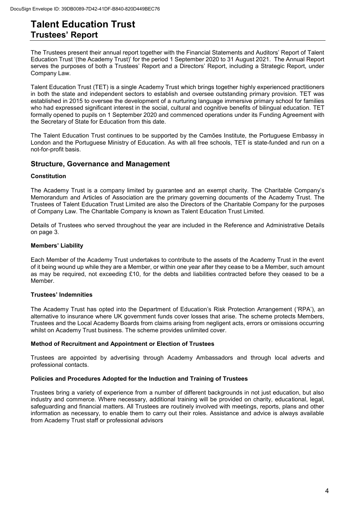### **Talent Education Trust Trustees' Report**

The Trustees present their annual report together with the Financial Statements and Auditors' Report of Talent Education Trust '(the Academy Trust)' for the period 1 September 2020 to 31 August 2021. The Annual Report serves the purposes of both a Trustees' Report and a Directors' Report, including a Strategic Report, under Company Law.

Talent Education Trust (TET) is a single Academy Trust which brings together highly experienced practitioners in both the state and independent sectors to establish and oversee outstanding primary provision. TET was established in 2015 to oversee the development of a nurturing language immersive primary school for families who had expressed significant interest in the social, cultural and cognitive benefits of bilingual education. TET formally opened to pupils on 1 September 2020 and commenced operations under its Funding Agreement with the Secretary of State for Education from this date.

The Talent Education Trust continues to be supported by the Camões Institute, the Portuguese Embassy in London and the Portuguese Ministry of Education. As with all free schools, TET is state-funded and run on a not-for-profit basis.

#### **Structure, Governance and Management**

#### **Constitution**

The Academy Trust is a company limited by guarantee and an exempt charity. The Charitable Company's Memorandum and Articles of Association are the primary governing documents of the Academy Trust. The Trustees of Talent Education Trust Limited are also the Directors of the Charitable Company for the purposes of Company Law. The Charitable Company is known as Talent Education Trust Limited.

Details of Trustees who served throughout the year are included in the Reference and Administrative Details on page 3.

#### **Members' Liability**

Each Member of the Academy Trust undertakes to contribute to the assets of the Academy Trust in the event of it being wound up while they are a Member, or within one year after they cease to be a Member, such amount as may be required, not exceeding £10, for the debts and liabilities contracted before they ceased to be a Member.

#### **Trustees' Indemnities**

The Academy Trust has opted into the Department of Education's Risk Protection Arrangement ('RPA'), an alternative to insurance where UK government funds cover losses that arise. The scheme protects Members, Trustees and the Local Academy Boards from claims arising from negligent acts, errors or omissions occurring whilst on Academy Trust business. The scheme provides unlimited cover.

#### **Method of Recruitment and Appointment or Election of Trustees**

Trustees are appointed by advertising through Academy Ambassadors and through local adverts and professional contacts.

#### **Policies and Procedures Adopted for the Induction and Training of Trustees**

Trustees bring a variety of experience from a number of different backgrounds in not just education, but also industry and commerce. Where necessary, additional training will be provided on charity, educational, legal, safeguarding and financial matters. All Trustees are routinely involved with meetings, reports, plans and other information as necessary, to enable them to carry out their roles. Assistance and advice is always available from Academy Trust staff or professional advisors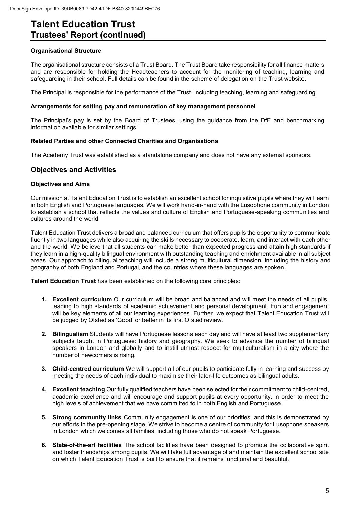#### **Organisational Structure**

The organisational structure consists of a Trust Board. The Trust Board take responsibility for all finance matters and are responsible for holding the Headteachers to account for the monitoring of teaching, learning and safeguarding in their school. Full details can be found in the scheme of delegation on the Trust website.

The Principal is responsible for the performance of the Trust, including teaching, learning and safeguarding.

#### **Arrangements for setting pay and remuneration of key management personnel**

The Principal's pay is set by the Board of Trustees, using the guidance from the DfE and benchmarking information available for similar settings.

#### **Related Parties and other Connected Charities and Organisations**

The Academy Trust was established as a standalone company and does not have any external sponsors.

#### **Objectives and Activities**

#### **Objectives and Aims**

Our mission at Talent Education Trust is to establish an excellent school for inquisitive pupils where they will learn in both English and Portuguese languages. We will work hand-in-hand with the Lusophone community in London to establish a school that reflects the values and culture of English and Portuguese-speaking communities and cultures around the world.

Talent Education Trust delivers a broad and balanced curriculum that offers pupils the opportunity to communicate fluently in two languages while also acquiring the skills necessary to cooperate, learn, and interact with each other and the world. We believe that all students can make better than expected progress and attain high standards if they learn in a high-quality bilingual environment with outstanding teaching and enrichment available in all subject areas. Our approach to bilingual teaching will include a strong multicultural dimension, including the history and geography of both England and Portugal, and the countries where these languages are spoken.

**Talent Education Trust** has been established on the following core principles:

- **1. Excellent curriculum** Our curriculum will be broad and balanced and will meet the needs of all pupils, leading to high standards of academic achievement and personal development. Fun and engagement will be key elements of all our learning experiences. Further, we expect that Talent Education Trust will be judged by Ofsted as 'Good' or better in its first Ofsted review.
- **2. Bilingualism** Students will have Portuguese lessons each day and will have at least two supplementary subjects taught in Portuguese: history and geography. We seek to advance the number of bilingual speakers in London and globally and to instill utmost respect for multiculturalism in a city where the number of newcomers is rising.
- **3. Child-centred curriculum** We will support all of our pupils to participate fully in learning and success by meeting the needs of each individual to maximise their later-life outcomes as bilingual adults.
- **4. Excellent teaching** Our fully qualified teachers have been selected for their commitment to child-centred, academic excellence and will encourage and support pupils at every opportunity, in order to meet the high levels of achievement that we have committed to in both English and Portuguese.
- **5. Strong community links** Community engagement is one of our priorities, and this is demonstrated by our efforts in the pre-opening stage. We strive to become a centre of community for Lusophone speakers in London which welcomes all families, including those who do not speak Portuguese.
- **6. State-of-the-art facilities** The school facilities have been designed to promote the collaborative spirit and foster friendships among pupils. We will take full advantage of and maintain the excellent school site on which Talent Education Trust is built to ensure that it remains functional and beautiful.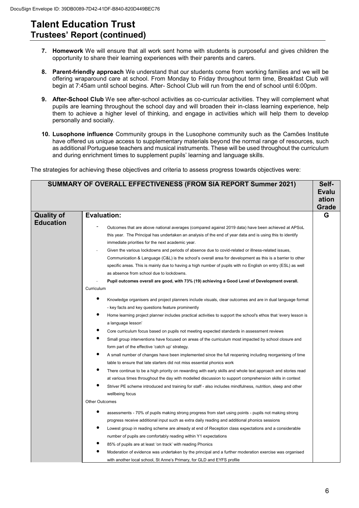- **7. Homework** We will ensure that all work sent home with students is purposeful and gives children the opportunity to share their learning experiences with their parents and carers.
- **8. Parent-friendly approach** We understand that our students come from working families and we will be offering wraparound care at school. From Monday to Friday throughout term time, Breakfast Club will begin at 7:45am until school begins. After- School Club will run from the end of school until 6:00pm.
- **9. After-School Club** We see after-school activities as co-curricular activities. They will complement what pupils are learning throughout the school day and will broaden their in-class learning experience, help them to achieve a higher level of thinking, and engage in activities which will help them to develop personally and socially.
- **10. Lusophone influence** Community groups in the Lusophone community such as the Camões Institute have offered us unique access to supplementary materials beyond the normal range of resources, such as additional Portuguese teachers and musical instruments. These will be used throughout the curriculum and during enrichment times to supplement pupils' learning and language skills.

The strategies for achieving these objectives and criteria to assess progress towards objectives were:

|                   | SUMMARY OF OVERALL EFFECTIVENESS (FROM SIA REPORT Summer 2021)                                                                                         | Self-        |
|-------------------|--------------------------------------------------------------------------------------------------------------------------------------------------------|--------------|
|                   |                                                                                                                                                        | <b>Evalu</b> |
|                   |                                                                                                                                                        | ation        |
|                   |                                                                                                                                                        | Grade        |
| <b>Quality of</b> | <b>Evaluation:</b>                                                                                                                                     | G            |
| <b>Education</b>  |                                                                                                                                                        |              |
|                   | Outcomes that are above national averages (compared against 2019 data) have been achieved at APSoL                                                     |              |
|                   | this year. The Principal has undertaken an analysis of the end of year data and is using this to identify                                              |              |
|                   | immediate priorities for the next academic year.<br>Given the various lockdowns and periods of absence due to covid-related or illness-related issues, |              |
|                   | Communication & Language (C&L) is the school's overall area for development as this is a barrier to other                                              |              |
|                   | specific areas. This is mainly due to having a high number of pupils with no English on entry (ESL) as well                                            |              |
|                   | as absence from school due to lockdowns.                                                                                                               |              |
|                   | Pupil outcomes overall are good, with 73% (19) achieving a Good Level of Development overall.                                                          |              |
|                   | Curriculum                                                                                                                                             |              |
|                   | Knowledge organisers and project planners include visuals, clear outcomes and are in dual language format                                              |              |
|                   | - key facts and key questions feature prominently                                                                                                      |              |
|                   | Home learning project planner includes practical activities to support the school's ethos that 'every lesson is                                        |              |
|                   | a language lesson'                                                                                                                                     |              |
|                   | Core curriculum focus based on pupils not meeting expected standards in assessment reviews                                                             |              |
|                   | Small group interventions have focused on areas of the curriculum most impacted by school closure and                                                  |              |
|                   | form part of the effective 'catch up' strategy.                                                                                                        |              |
|                   | A small number of changes have been implemented since the full reopening including reorganising of time                                                |              |
|                   | table to ensure that late starters did not miss essential phonics work                                                                                 |              |
|                   | There continue to be a high priority on rewarding with early skills and whole text approach and stories read                                           |              |
|                   | at various times throughout the day with modelled discussion to support comprehension skills in context                                                |              |
|                   | Striver PE scheme introduced and training for staff - also includes mindfulness, nutrition, sleep and other                                            |              |
|                   | wellbeing focus                                                                                                                                        |              |
|                   | Other Outcomes                                                                                                                                         |              |
|                   | assessments - 70% of pupils making strong progress from start using points - pupils not making strong                                                  |              |
|                   | progress receive additional input such as extra daily reading and additional phonics sessions                                                          |              |
|                   | Lowest group in reading scheme are already at end of Reception class expectations and a considerable                                                   |              |
|                   | number of pupils are comfortably reading within Y1 expectations                                                                                        |              |
|                   | 85% of pupils are at least 'on track' with reading Phonics                                                                                             |              |
|                   | Moderation of evidence was undertaken by the principal and a further moderation exercise was organised                                                 |              |
|                   | with another local school, St Anne's Primary, for GLD and EYFS profile                                                                                 |              |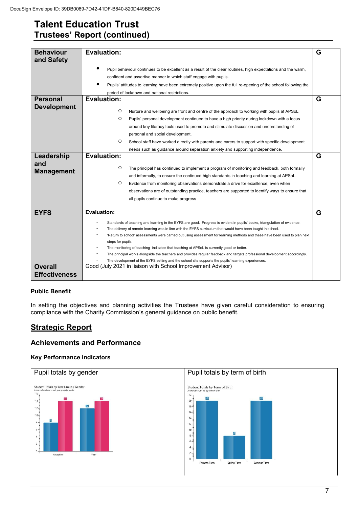| <b>Behaviour</b><br>and Safety                      | <b>Evaluation:</b>                                                                                                                                                                                                                                                                                                                                                                                                                                                                                                                                                                                                                                                                                                                                 | G      |
|-----------------------------------------------------|----------------------------------------------------------------------------------------------------------------------------------------------------------------------------------------------------------------------------------------------------------------------------------------------------------------------------------------------------------------------------------------------------------------------------------------------------------------------------------------------------------------------------------------------------------------------------------------------------------------------------------------------------------------------------------------------------------------------------------------------------|--------|
|                                                     | Pupil behaviour continues to be excellent as a result of the clear routines, high expectations and the warm,<br>confident and assertive manner in which staff engage with pupils.<br>Pupils' attitudes to learning have been extremely positive upon the full re-opening of the school following the<br>period of lockdown and national restrictions.                                                                                                                                                                                                                                                                                                                                                                                              |        |
| <b>Personal</b><br><b>Development</b><br>Leadership | <b>Evaluation:</b><br>O<br>Nurture and wellbeing are front and centre of the approach to working with pupils at APSoL<br>O<br>Pupils' personal development continued to have a high priority during lockdown with a focus<br>around key literacy texts used to promote and stimulate discussion and understanding of<br>personal and social development.<br>O<br>School staff have worked directly with parents and carers to support with specific development<br>needs such as guidance around separation anxiety and supporting independence.<br><b>Evaluation:</b>                                                                                                                                                                             | G<br>G |
| and<br><b>Management</b>                            | O<br>The principal has continued to implement a program of monitoring and feedback, both formally<br>and informally, to ensure the continued high standards in teaching and learning at APSoL.<br>O<br>Evidence from monitoring observations demonstrate a drive for excellence; even when<br>observations are of outstanding practice, teachers are supported to identify ways to ensure that<br>all pupils continue to make progress                                                                                                                                                                                                                                                                                                             |        |
| <b>EYFS</b>                                         | <b>Evaluation:</b><br>Standards of teaching and learning in the EYFS are good. Progress is evident in pupils' books, triangulation of evidence.<br>The delivery of remote learning was in line with the EYFS curriculum that would have been taught in school.<br>'Return to school' assessments were carried out using assessment for learning methods and these have been used to plan next<br>steps for pupils.<br>The monitoring of teaching indicates that teaching at APSoL is currently good or better.<br>The principal works alongside the teachers and provides regular feedback and targets professional development accordingly.<br>The development of the EYFS setting and the school site supports the pupils' learning experiences. | G      |
| <b>Overall</b><br><b>Effectiveness</b>              | Good (July 2021 in liaison with School Improvement Advisor)                                                                                                                                                                                                                                                                                                                                                                                                                                                                                                                                                                                                                                                                                        |        |

#### **Public Benefit**

In setting the objectives and planning activities the Trustees have given careful consideration to ensuring compliance with the Charity Commission's general guidance on public benefit.

### **Strategic Report**

#### **Achievements and Performance**

#### **Key Performance Indicators**

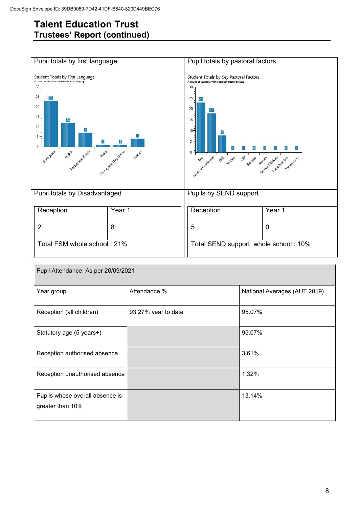

| Pupil Attendance: As per 20/09/2021                 |                     |                              |  |  |  |  |
|-----------------------------------------------------|---------------------|------------------------------|--|--|--|--|
| Year group                                          | Attendance %        | National Averages (AUT 2019) |  |  |  |  |
| Reception (all children)                            | 93.27% year to date | 95.07%                       |  |  |  |  |
| Statutory age (5 years+)                            |                     | 95.07%                       |  |  |  |  |
| Reception authorised absence                        |                     | 3.61%                        |  |  |  |  |
| Reception unauthorised absence                      |                     | 1.32%                        |  |  |  |  |
| Pupils whose overall absence is<br>greater than 10% |                     | 13.14%                       |  |  |  |  |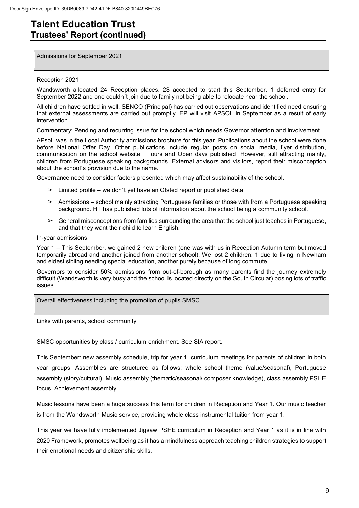Admissions for September 2021

#### Reception 2021

Wandsworth allocated 24 Reception places. 23 accepted to start this September, 1 deferred entry for September 2022 and one couldn´t join due to family not being able to relocate near the school.

All children have settled in well. SENCO (Principal) has carried out observations and identified need ensuring that external assessments are carried out promptly. EP will visit APSOL in September as a result of early intervention.

Commentary: Pending and recurring issue for the school which needs Governor attention and involvement.

APsoL was in the Local Authority admissions brochure for this year. Publications about the school were done before National Offer Day. Other publications include regular posts on social media, flyer distribution, communication on the school website. Tours and Open days published. However, still attracting mainly, children from Portuguese speaking backgrounds. External advisors and visitors, report their misconception about the school´s provision due to the name.

Governance need to consider factors presented which may affect sustainability of the school.

- $\geq$  Limited profile we don't yet have an Ofsted report or published data
- $\geq$  Admissions school mainly attracting Portuguese families or those with from a Portuguese speaking background. HT has published lots of information about the school being a community school.
- $\triangleright$  General misconceptions from families surrounding the area that the school just teaches in Portuguese, and that they want their child to learn English.

In-year admissions:

Year 1 – This September, we gained 2 new children (one was with us in Reception Autumn term but moved temporarily abroad and another joined from another school). We lost 2 children: 1 due to living in Newham and eldest sibling needing special education, another purely because of long commute.

Governors to consider 50% admissions from out-of-borough as many parents find the journey extremely difficult (Wandsworth is very busy and the school is located directly on the South Circular) posing lots of traffic issues.

Overall effectiveness including the promotion of pupils SMSC

Links with parents, school community

SMSC opportunities by class / curriculum enrichment**.** See SIA report.

This September: new assembly schedule, trip for year 1, curriculum meetings for parents of children in both year groups. Assemblies are structured as follows: whole school theme (value/seasonal), Portuguese assembly (story/cultural), Music assembly (thematic/seasonal/ composer knowledge), class assembly PSHE focus, Achievement assembly.

Music lessons have been a huge success this term for children in Reception and Year 1. Our music teacher is from the Wandsworth Music service, providing whole class instrumental tuition from year 1.

This year we have fully implemented Jigsaw PSHE curriculum in Reception and Year 1 as it is in line with 2020 Framework, promotes wellbeing as it has a mindfulness approach teaching children strategies to support their emotional needs and citizenship skills.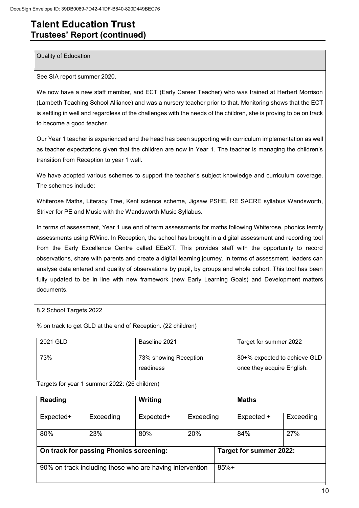Quality of Education

See SIA report summer 2020.

We now have a new staff member, and ECT (Early Career Teacher) who was trained at Herbert Morrison (Lambeth Teaching School Alliance) and was a nursery teacher prior to that. Monitoring shows that the ECT is settling in well and regardless of the challenges with the needs of the children, she is proving to be on track to become a good teacher.

Our Year 1 teacher is experienced and the head has been supporting with curriculum implementation as well as teacher expectations given that the children are now in Year 1. The teacher is managing the children's transition from Reception to year 1 well.

We have adopted various schemes to support the teacher's subject knowledge and curriculum coverage. The schemes include:

Whiterose Maths, Literacy Tree, Kent science scheme, Jigsaw PSHE, RE SACRE syllabus Wandsworth, Striver for PE and Music with the Wandsworth Music Syllabus.

In terms of assessment, Year 1 use end of term assessments for maths following Whiterose, phonics termly assessments using RWinc. In Reception, the school has brought in a digital assessment and recording tool from the Early Excellence Centre called EEaXT. This provides staff with the opportunity to record observations, share with parents and create a digital learning journey. In terms of assessment, leaders can analyse data entered and quality of observations by pupil, by groups and whole cohort. This tool has been fully updated to be in line with new framework (new Early Learning Goals) and Development matters documents.

8.2 School Targets 2022

% on track to get GLD at the end of Reception. (22 children)

| 2021 GLD | Baseline 2021                      | Target for summer 2022                                     |
|----------|------------------------------------|------------------------------------------------------------|
| 73%      | 73% showing Reception<br>readiness | 80+% expected to achieve GLD<br>once they acquire English. |
|          |                                    |                                                            |

Targets for year 1 summer 2022: (26 children)

| <b>Reading</b> |                                                          | Writing   |           |        |                         |           |
|----------------|----------------------------------------------------------|-----------|-----------|--------|-------------------------|-----------|
| Expected+      | Exceeding                                                | Expected+ | Exceeding |        | Expected +              | Exceeding |
| 80%            | 23%                                                      | 80%       | 20%       |        | 84%                     | 27%       |
|                | On track for passing Phonics screening:                  |           |           |        | Target for summer 2022: |           |
|                | 90% on track including those who are having intervention |           |           | $85%+$ |                         |           |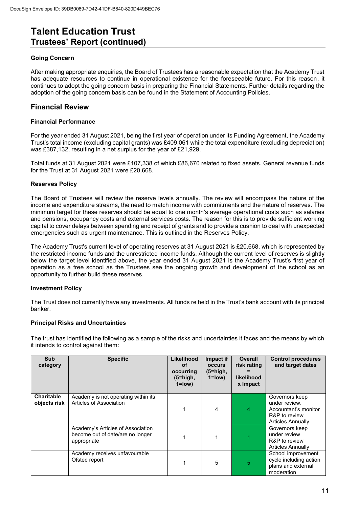#### **Going Concern**

After making appropriate enquiries, the Board of Trustees has a reasonable expectation that the Academy Trust has adequate resources to continue in operational existence for the foreseeable future. For this reason, it continues to adopt the going concern basis in preparing the Financial Statements. Further details regarding the adoption of the going concern basis can be found in the Statement of Accounting Policies.

#### **Financial Review**

#### **Financial Performance**

For the year ended 31 August 2021, being the first year of operation under its Funding Agreement, the Academy Trust's total income (excluding capital grants) was £409,061 while the total expenditure (excluding depreciation) was £387,132, resulting in a net surplus for the year of £21,929.

Total funds at 31 August 2021 were £107,338 of which £86,670 related to fixed assets. General revenue funds for the Trust at 31 August 2021 were £20,668.

#### **Reserves Policy**

The Board of Trustees will review the reserve levels annually. The review will encompass the nature of the income and expenditure streams, the need to match income with commitments and the nature of reserves. The minimum target for these reserves should be equal to one month's average operational costs such as salaries and pensions, occupancy costs and external services costs. The reason for this is to provide sufficient working capital to cover delays between spending and receipt of grants and to provide a cushion to deal with unexpected emergencies such as urgent maintenance. This is outlined in the Reserves Policy.

The Academy Trust's current level of operating reserves at 31 August 2021 is £20,668, which is represented by the restricted income funds and the unrestricted income funds. Although the current level of reserves is slightly below the target level identified above, the year ended 31 August 2021 is the Academy Trust's first year of operation as a free school as the Trustees see the ongoing growth and development of the school as an opportunity to further build these reserves.

#### **Investment Policy**

The Trust does not currently have any investments. All funds re held in the Trust's bank account with its principal banker.

#### **Principal Risks and Uncertainties**

The trust has identified the following as a sample of the risks and uncertainties it faces and the means by which it intends to control against them:

| <b>Sub</b><br>category            | <b>Specific</b>                                                                      | Likelihood<br>οf<br>occurring<br>$(5=high,$<br>$1 = low$ | Impact if<br><b>occurs</b><br>$(5 = high,$<br>$1 = low$ | Overall<br>risk rating<br>likelihood<br>x Impact | <b>Control procedures</b><br>and target dates                                                 |
|-----------------------------------|--------------------------------------------------------------------------------------|----------------------------------------------------------|---------------------------------------------------------|--------------------------------------------------|-----------------------------------------------------------------------------------------------|
| <b>Charitable</b><br>objects risk | Academy is not operating within its<br>Articles of Association                       |                                                          | 4                                                       | 4                                                | Governors keep<br>under review.<br>Accountant's monitor<br>R&P to review<br>Articles Annually |
|                                   | Academy's Articles of Association<br>become out of date/are no longer<br>appropriate |                                                          |                                                         |                                                  | Governors keep<br>under review<br>R&P to review<br>Articles Annually                          |
|                                   | Academy receives unfavourable<br>Ofsted report                                       |                                                          | 5                                                       | 5                                                | School improvement<br>cycle including action<br>plans and external<br>moderation              |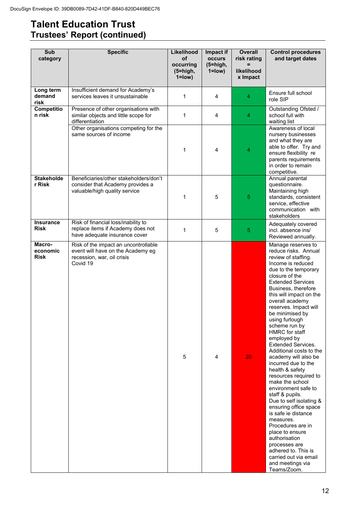| <b>Sub</b><br>category            | <b>Specific</b>                                                                                                     | Likelihood<br><b>of</b><br>occurring<br>(5=high,<br>$1 = low$ | Impact if<br>occurs<br>$(5=high,$<br>$1 = low$ ) | <b>Overall</b><br>risk rating<br>likelihood<br>x Impact | <b>Control procedures</b><br>and target dates                                                                                                                                                                                                                                                                                                                                                                                                                                                                                                                                                                                                                                                                                                                                                                          |
|-----------------------------------|---------------------------------------------------------------------------------------------------------------------|---------------------------------------------------------------|--------------------------------------------------|---------------------------------------------------------|------------------------------------------------------------------------------------------------------------------------------------------------------------------------------------------------------------------------------------------------------------------------------------------------------------------------------------------------------------------------------------------------------------------------------------------------------------------------------------------------------------------------------------------------------------------------------------------------------------------------------------------------------------------------------------------------------------------------------------------------------------------------------------------------------------------------|
| Long term<br>demand<br>risk       | Insufficient demand for Academy's<br>services leaves it unsustainable                                               | 1                                                             | 4                                                | 4                                                       | Ensure full school<br>role SIP                                                                                                                                                                                                                                                                                                                                                                                                                                                                                                                                                                                                                                                                                                                                                                                         |
| <b>Competitio</b><br>n risk       | Presence of other organisations with<br>similar objects and little scope for<br>differentiation                     | 1                                                             | 4                                                | 4                                                       | Outstanding Ofsted /<br>school full with<br>waiting list                                                                                                                                                                                                                                                                                                                                                                                                                                                                                                                                                                                                                                                                                                                                                               |
|                                   | Other organisations competing for the<br>same sources of income                                                     | 1                                                             | 4                                                | 4                                                       | Awareness of local<br>nursery businesses<br>and what they are<br>able to offer. Try and<br>ensure flexibility re<br>parents requirements<br>in order to remain<br>competitive.                                                                                                                                                                                                                                                                                                                                                                                                                                                                                                                                                                                                                                         |
| <b>Stakeholde</b><br>r Risk       | Beneficiaries/other stakeholders/don't<br>consider that Academy provides a<br>valuable/high quality service         | 1                                                             | 5                                                | 5                                                       | Annual parental<br>questionnaire.<br>Maintaining high<br>standards, consistent<br>service, effective<br>communication with<br>stakeholders                                                                                                                                                                                                                                                                                                                                                                                                                                                                                                                                                                                                                                                                             |
| <b>Insurance</b><br>Risk          | Risk of financial loss/inability to<br>replace items if Academy does not<br>have adequate insurance cover           | 1                                                             | 5                                                | 5                                                       | Adequately covered<br>incl. absence ins/<br>Reviewed annually.                                                                                                                                                                                                                                                                                                                                                                                                                                                                                                                                                                                                                                                                                                                                                         |
| Macro-<br>economic<br><b>Risk</b> | Risk of the impact an uncontrollable<br>event will have on the Academy eg<br>recession, war, oil crisis<br>Covid 19 | 5                                                             | 4                                                | 20                                                      | Manage reserves to<br>reduce risks. Annual<br>review of staffing.<br>Income is reduced<br>due to the temporary<br>closure of the<br><b>Extended Services</b><br>Business, therefore<br>this will impact on the<br>overall academy<br>reserves. Impact will<br>be minimised by<br>using furlough<br>scheme run by<br>HMRC for staff<br>employed by<br><b>Extended Services.</b><br>Additional costs to the<br>academy will also be<br>incurred due to the<br>health & safety<br>resources required to<br>make the school<br>environment safe to<br>staff & pupils.<br>Due to self isolating &<br>ensuring office space<br>is safe je distance<br>measures.<br>Procedures are in<br>place to ensure<br>authorisation<br>processes are<br>adhered to. This is<br>carried out via email<br>and meetings via<br>Teams/Zoom. |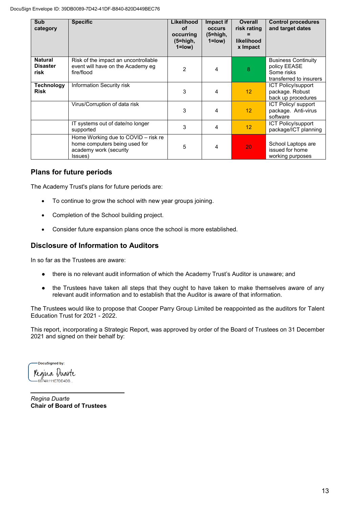| Sub<br>category                           | <b>Specific</b>                                                                                           | Likelihood<br>of<br>occurring<br>$(5=high,$<br>$1 = low$ | Impact if<br><b>OCCULS</b><br>$(5 = high,$<br>$1 = low$ | Overall<br>risk rating<br>likelihood<br>x Impact | <b>Control procedures</b><br>and target dates                                       |
|-------------------------------------------|-----------------------------------------------------------------------------------------------------------|----------------------------------------------------------|---------------------------------------------------------|--------------------------------------------------|-------------------------------------------------------------------------------------|
| <b>Natural</b><br><b>Disaster</b><br>risk | Risk of the impact an uncontrollable<br>event will have on the Academy eg<br>fire/flood                   | $\overline{2}$                                           | 4                                                       | 8                                                | <b>Business Continuity</b><br>policy EEASE<br>Some risks<br>transferred to insurers |
| <b>Technology</b><br><b>Risk</b>          | Information Security risk                                                                                 | 3                                                        | 4                                                       | 12 <sup>2</sup>                                  | <b>ICT Policy/support</b><br>package. Robust<br>back up procedures                  |
|                                           | Virus/Corruption of data risk                                                                             | 3                                                        | 4                                                       | 12                                               | ICT Policy/ support<br>package. Anti-virus<br>software                              |
|                                           | IT systems out of date/no longer<br>supported                                                             | 3                                                        | 4                                                       | 12 <sup>2</sup>                                  | <b>ICT Policy/support</b><br>package/ICT planning                                   |
|                                           | Home Working due to COVID – risk re<br>home computers being used for<br>academy work (security<br>(ssues) | 5                                                        | 4                                                       | 20                                               | School Laptops are<br>issued for home<br>working purposes                           |

#### **Plans for future periods**

The Academy Trust's plans for future periods are:

- To continue to grow the school with new year groups joining.
- Completion of the School building project.
- Consider future expansion plans once the school is more established.

#### **Disclosure of Information to Auditors**

In so far as the Trustees are aware:

- there is no relevant audit information of which the Academy Trust's Auditor is unaware; and
- the Trustees have taken all steps that they ought to have taken to make themselves aware of any relevant audit information and to establish that the Auditor is aware of that information.

The Trustees would like to propose that Cooper Parry Group Limited be reappointed as the auditors for Talent Education Trust for 2021 - 2022.

This report, incorporating a Strategic Report, was approved by order of the Board of Trustees on 31 December 2021 and signed on their behalf by:

-DocuSigned by: Regina Duarte  $\frac{\theta}{16674A111E7DD4DB...}$ 

*Regina Duarte*  **Chair of Board of Trustees**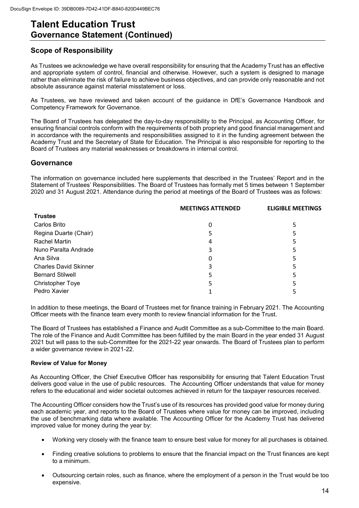### **Talent Education Trust Governance Statement (Continued)**

### **Scope of Responsibility**

As Trustees we acknowledge we have overall responsibility for ensuring that the Academy Trust has an effective and appropriate system of control, financial and otherwise. However, such a system is designed to manage rather than eliminate the risk of failure to achieve business objectives, and can provide only reasonable and not absolute assurance against material misstatement or loss.

As Trustees, we have reviewed and taken account of the guidance in DfE's Governance Handbook and Competency Framework for Governance.

The Board of Trustees has delegated the day-to-day responsibility to the Principal, as Accounting Officer, for ensuring financial controls conform with the requirements of both propriety and good financial management and in accordance with the requirements and responsibilities assigned to it in the funding agreement between the Academy Trust and the Secretary of State for Education. The Principal is also responsible for reporting to the Board of Trustees any material weaknesses or breakdowns in internal control.

#### **Governance**

The information on governance included here supplements that described in the Trustees' Report and in the Statement of Trustees' Responsibilities. The Board of Trustees has formally met 5 times between 1 September 2020 and 31 August 2021. Attendance during the period at meetings of the Board of Trustees was as follows:

|                              | <b>MEETINGS ATTENDED</b> | <b>ELIGIBLE MEETINGS</b> |
|------------------------------|--------------------------|--------------------------|
| <b>Trustee</b>               |                          |                          |
| Carlos Brito                 |                          | 5                        |
| Regina Duarte (Chair)        |                          | 5                        |
| Rachel Martin                | 4                        |                          |
| Nuno Paralta Andrade         | 3                        | 5                        |
| Ana Silva                    | 0                        |                          |
| <b>Charles David Skinner</b> | 3                        | 5                        |
| <b>Bernard Stilwell</b>      |                          | 5                        |
| <b>Christopher Toye</b>      |                          |                          |
| Pedro Xavier                 |                          |                          |

In addition to these meetings, the Board of Trustees met for finance training in February 2021. The Accounting Officer meets with the finance team every month to review financial information for the Trust.

The Board of Trustees has established a Finance and Audit Committee as a sub-Committee to the main Board. The role of the Finance and Audit Committee has been fulfilled by the main Board in the year ended 31 August 2021 but will pass to the sub-Committee for the 2021-22 year onwards. The Board of Trustees plan to perform a wider governance review in 2021-22.

#### **Review of Value for Money**

As Accounting Officer, the Chief Executive Officer has responsibility for ensuring that Talent Education Trust delivers good value in the use of public resources. The Accounting Officer understands that value for money refers to the educational and wider societal outcomes achieved in return for the taxpayer resources received.

The Accounting Officer considers how the Trust's use of its resources has provided good value for money during each academic year, and reports to the Board of Trustees where value for money can be improved, including the use of benchmarking data where available. The Accounting Officer for the Academy Trust has delivered improved value for money during the year by:

- Working very closely with the finance team to ensure best value for money for all purchases is obtained.
- Finding creative solutions to problems to ensure that the financial impact on the Trust finances are kept to a minimum.
- Outsourcing certain roles, such as finance, where the employment of a person in the Trust would be too expensive.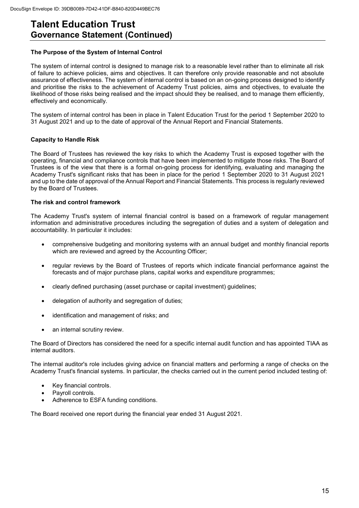### **Talent Education Trust Governance Statement (Continued)**

#### **The Purpose of the System of Internal Control**

The system of internal control is designed to manage risk to a reasonable level rather than to eliminate all risk of failure to achieve policies, aims and objectives. It can therefore only provide reasonable and not absolute assurance of effectiveness. The system of internal control is based on an on-going process designed to identify and prioritise the risks to the achievement of Academy Trust policies, aims and objectives, to evaluate the likelihood of those risks being realised and the impact should they be realised, and to manage them efficiently, effectively and economically.

The system of internal control has been in place in Talent Education Trust for the period 1 September 2020 to 31 August 2021 and up to the date of approval of the Annual Report and Financial Statements.

#### **Capacity to Handle Risk**

The Board of Trustees has reviewed the key risks to which the Academy Trust is exposed together with the operating, financial and compliance controls that have been implemented to mitigate those risks. The Board of Trustees is of the view that there is a formal on-going process for identifying, evaluating and managing the Academy Trust's significant risks that has been in place for the period 1 September 2020 to 31 August 2021 and up to the date of approval of the Annual Report and Financial Statements. This process is regularly reviewed by the Board of Trustees.

#### **The risk and control framework**

The Academy Trust's system of internal financial control is based on a framework of regular management information and administrative procedures including the segregation of duties and a system of delegation and accountability. In particular it includes:

- comprehensive budgeting and monitoring systems with an annual budget and monthly financial reports which are reviewed and agreed by the Accounting Officer;
- regular reviews by the Board of Trustees of reports which indicate financial performance against the forecasts and of major purchase plans, capital works and expenditure programmes;
- clearly defined purchasing (asset purchase or capital investment) guidelines;
- delegation of authority and segregation of duties;
- identification and management of risks; and
- an internal scrutiny review.

The Board of Directors has considered the need for a specific internal audit function and has appointed TIAA as internal auditors.

The internal auditor's role includes giving advice on financial matters and performing a range of checks on the Academy Trust's financial systems. In particular, the checks carried out in the current period included testing of:

- Key financial controls.
- Payroll controls.
- Adherence to ESFA funding conditions.

The Board received one report during the financial year ended 31 August 2021.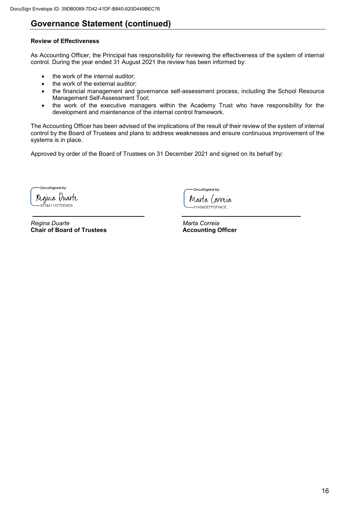### **Governance Statement (continued)**

#### **Review of Effectiveness**

As Accounting Officer, the Principal has responsibility for reviewing the effectiveness of the system of internal control. During the year ended 31 August 2021 the review has been informed by:

- the work of the internal auditor;
- the work of the external auditor;
- the financial management and governance self-assessment process, including the School Resource Management Self-Assessment Tool;
- the work of the executive managers within the Academy Trust who have responsibility for the development and maintenance of the internal control framework.

The Accounting Officer has been advised of the implications of the result of their review of the system of internal control by the Board of Trustees and plans to address weaknesses and ensure continuous improvement of the systems is in place.

Approved by order of the Board of Trustees on 31 December 2021 and signed on its behalf by:

DocuSigned by: ŕ Regina Duarte I 6674A111E7DD4DB..

**Partical Duarte Convention Convention Convention Convention Convention Convention Charles Convention Charles Convention Charles Charles Convention Charles Charles Charles Charles Charles Charles Charles Charles Charles Ch Chair of Board of Trustees** 

DocuSigned by: Marta Correia 61AB8DEFFDF64CE...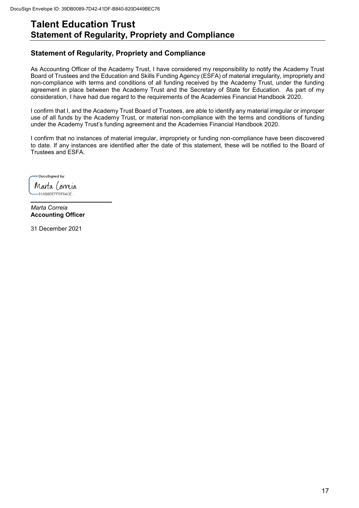### **Talent Education Trust Statement of Regularity, Propriety and Compliance**

### **Statement of Regularity, Propriety and Compliance**

As Accounting Officer of the Academy Trust, I have considered my responsibility to notify the Academy Trust Board of Trustees and the Education and Skills Funding Agency (ESFA) of material irregularity, impropriety and non-compliance with terms and conditions of all funding received by the Academy Trust, under the funding agreement in place between the Academy Trust and the Secretary of State for Education. As part of my consideration, I have had due regard to the requirements of the Academies Financial Handbook 2020.

I confirm that I, and the Academy Trust Board of Trustees, are able to identify any material irregular or improper use of all funds by the Academy Trust, or material non-compliance with the terms and conditions of funding under the Academy Trust's funding agreement and the Academies Financial Handbook 2020.

I confirm that no instances of material irregular, impropriety or funding non-compliance have been discovered to date. If any instances are identified after the date of this statement, these will be notified to the Board of Trustees and ESFA.

DocuSianed by: Marta Correia 61AB8DEFFDF64CE..

*Marta Correia*  **Accounting Officer** 

31 December 2021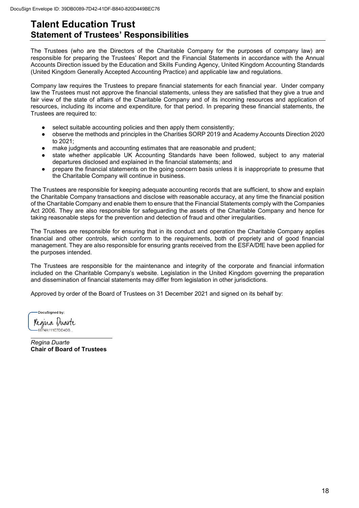### **Talent Education Trust Statement of Trustees' Responsibilities**

The Trustees (who are the Directors of the Charitable Company for the purposes of company law) are responsible for preparing the Trustees' Report and the Financial Statements in accordance with the Annual Accounts Direction issued by the Education and Skills Funding Agency, United Kingdom Accounting Standards (United Kingdom Generally Accepted Accounting Practice) and applicable law and regulations.

Company law requires the Trustees to prepare financial statements for each financial year. Under company law the Trustees must not approve the financial statements, unless they are satisfied that they give a true and fair view of the state of affairs of the Charitable Company and of its incoming resources and application of resources, including its income and expenditure, for that period. In preparing these financial statements, the Trustees are required to:

- select suitable accounting policies and then apply them consistently;
- observe the methods and principles in the Charities SORP 2019 and Academy Accounts Direction 2020 to 2021;
- make judgments and accounting estimates that are reasonable and prudent;
- state whether applicable UK Accounting Standards have been followed, subject to any material departures disclosed and explained in the financial statements; and
- prepare the financial statements on the going concern basis unless it is inappropriate to presume that the Charitable Company will continue in business.

The Trustees are responsible for keeping adequate accounting records that are sufficient, to show and explain the Charitable Company transactions and disclose with reasonable accuracy, at any time the financial position of the Charitable Company and enable them to ensure that the Financial Statements comply with the Companies Act 2006. They are also responsible for safeguarding the assets of the Charitable Company and hence for taking reasonable steps for the prevention and detection of fraud and other irregularities.

The Trustees are responsible for ensuring that in its conduct and operation the Charitable Company applies financial and other controls, which conform to the requirements, both of propriety and of good financial management. They are also responsible for ensuring grants received from the ESFA/DfE have been applied for the purposes intended.

The Trustees are responsible for the maintenance and integrity of the corporate and financial information included on the Charitable Company's website. Legislation in the United Kingdom governing the preparation and dissemination of financial statements may differ from legislation in other jurisdictions.

Approved by order of the Board of Trustees on 31 December 2021 and signed on its behalf by:

DocuSianed by: Regina Duarte 6674A111E7DD4DE

*Regina Duarte*  **Chair of Board of Trustees**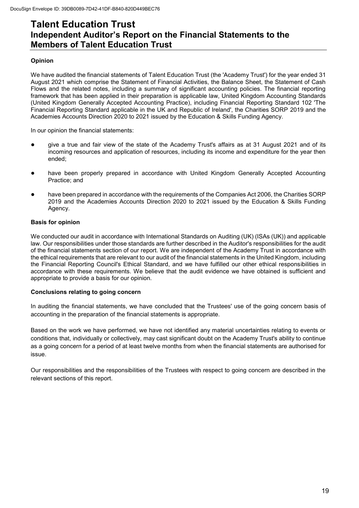### **Talent Education Trust Independent Auditor's Report on the Financial Statements to the Members of Talent Education Trust**

#### **Opinion**

We have audited the financial statements of Talent Education Trust (the 'Academy Trust') for the year ended 31 August 2021 which comprise the Statement of Financial Activities, the Balance Sheet, the Statement of Cash Flows and the related notes, including a summary of significant accounting policies. The financial reporting framework that has been applied in their preparation is applicable law, United Kingdom Accounting Standards (United Kingdom Generally Accepted Accounting Practice), including Financial Reporting Standard 102 'The Financial Reporting Standard applicable in the UK and Republic of Ireland', the Charities SORP 2019 and the Academies Accounts Direction 2020 to 2021 issued by the Education & Skills Funding Agency.

In our opinion the financial statements:

- give a true and fair view of the state of the Academy Trust's affairs as at 31 August 2021 and of its incoming resources and application of resources, including its income and expenditure for the year then ended;
- have been properly prepared in accordance with United Kingdom Generally Accepted Accounting Practice; and
- have been prepared in accordance with the requirements of the Companies Act 2006, the Charities SORP 2019 and the Academies Accounts Direction 2020 to 2021 issued by the Education & Skills Funding Agency.

#### **Basis for opinion**

We conducted our audit in accordance with International Standards on Auditing (UK) (ISAs (UK)) and applicable law. Our responsibilities under those standards are further described in the Auditor's responsibilities for the audit of the financial statements section of our report. We are independent of the Academy Trust in accordance with the ethical requirements that are relevant to our audit of the financial statements in the United Kingdom, including the Financial Reporting Council's Ethical Standard, and we have fulfilled our other ethical responsibilities in accordance with these requirements. We believe that the audit evidence we have obtained is sufficient and appropriate to provide a basis for our opinion.

#### **Conclusions relating to going concern**

In auditing the financial statements, we have concluded that the Trustees' use of the going concern basis of accounting in the preparation of the financial statements is appropriate.

Based on the work we have performed, we have not identified any material uncertainties relating to events or conditions that, individually or collectively, may cast significant doubt on the Academy Trust's ability to continue as a going concern for a period of at least twelve months from when the financial statements are authorised for issue.

Our responsibilities and the responsibilities of the Trustees with respect to going concern are described in the relevant sections of this report.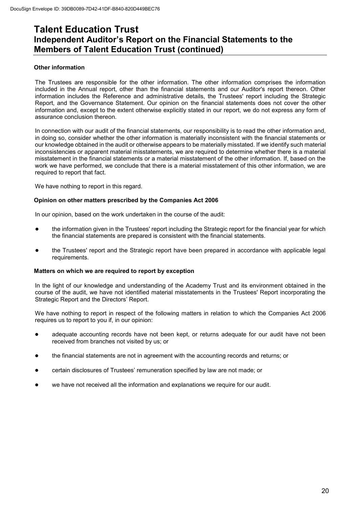### **Talent Education Trust Independent Auditor's Report on the Financial Statements to the Members of Talent Education Trust (continued)**

#### **Other information**

The Trustees are responsible for the other information. The other information comprises the information included in the Annual report, other than the financial statements and our Auditor's report thereon. Other information includes the Reference and administrative details, the Trustees' report including the Strategic Report, and the Governance Statement. Our opinion on the financial statements does not cover the other information and, except to the extent otherwise explicitly stated in our report, we do not express any form of assurance conclusion thereon.

In connection with our audit of the financial statements, our responsibility is to read the other information and, in doing so, consider whether the other information is materially inconsistent with the financial statements or our knowledge obtained in the audit or otherwise appears to be materially misstated. If we identify such material inconsistencies or apparent material misstatements, we are required to determine whether there is a material misstatement in the financial statements or a material misstatement of the other information. If, based on the work we have performed, we conclude that there is a material misstatement of this other information, we are required to report that fact.

We have nothing to report in this regard.

#### **Opinion on other matters prescribed by the Companies Act 2006**

In our opinion, based on the work undertaken in the course of the audit:

- the information given in the Trustees' report including the Strategic report for the financial year for which the financial statements are prepared is consistent with the financial statements.
- the Trustees' report and the Strategic report have been prepared in accordance with applicable legal requirements.

#### **Matters on which we are required to report by exception**

In the light of our knowledge and understanding of the Academy Trust and its environment obtained in the course of the audit, we have not identified material misstatements in the Trustees' Report incorporating the Strategic Report and the Directors' Report.

We have nothing to report in respect of the following matters in relation to which the Companies Act 2006 requires us to report to you if, in our opinion:

- adequate accounting records have not been kept, or returns adequate for our audit have not been received from branches not visited by us; or
- the financial statements are not in agreement with the accounting records and returns; or
- certain disclosures of Trustees' remuneration specified by law are not made; or
- we have not received all the information and explanations we require for our audit.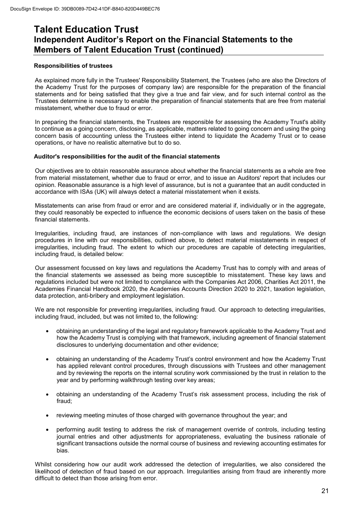### **Talent Education Trust Independent Auditor's Report on the Financial Statements to the Members of Talent Education Trust (continued)**

#### **Responsibilities of trustees**

As explained more fully in the Trustees' Responsibility Statement, the Trustees (who are also the Directors of the Academy Trust for the purposes of company law) are responsible for the preparation of the financial statements and for being satisfied that they give a true and fair view, and for such internal control as the Trustees determine is necessary to enable the preparation of financial statements that are free from material misstatement, whether due to fraud or error.

In preparing the financial statements, the Trustees are responsible for assessing the Academy Trust's ability to continue as a going concern, disclosing, as applicable, matters related to going concern and using the going concern basis of accounting unless the Trustees either intend to liquidate the Academy Trust or to cease operations, or have no realistic alternative but to do so.

#### **Auditor's responsibilities for the audit of the financial statements**

Our objectives are to obtain reasonable assurance about whether the financial statements as a whole are free from material misstatement, whether due to fraud or error, and to issue an Auditors' report that includes our opinion. Reasonable assurance is a high level of assurance, but is not a guarantee that an audit conducted in accordance with ISAs (UK) will always detect a material misstatement when it exists.

Misstatements can arise from fraud or error and are considered material if, individually or in the aggregate, they could reasonably be expected to influence the economic decisions of users taken on the basis of these financial statements.

Irregularities, including fraud, are instances of non-compliance with laws and regulations. We design procedures in line with our responsibilities, outlined above, to detect material misstatements in respect of irregularities, including fraud. The extent to which our procedures are capable of detecting irregularities, including fraud, is detailed below:

Our assessment focussed on key laws and regulations the Academy Trust has to comply with and areas of the financial statements we assessed as being more susceptible to misstatement. These key laws and regulations included but were not limited to compliance with the Companies Act 2006, Charities Act 2011, the Academies Financial Handbook 2020, the Academies Accounts Direction 2020 to 2021, taxation legislation, data protection, anti-bribery and employment legislation.

We are not responsible for preventing irregularities, including fraud. Our approach to detecting irregularities, including fraud, included, but was not limited to, the following:

- obtaining an understanding of the legal and regulatory framework applicable to the Academy Trust and how the Academy Trust is complying with that framework, including agreement of financial statement disclosures to underlying documentation and other evidence;
- obtaining an understanding of the Academy Trust's control environment and how the Academy Trust has applied relevant control procedures, through discussions with Trustees and other management and by reviewing the reports on the internal scrutiny work commissioned by the trust in relation to the year and by performing walkthrough testing over key areas;
- obtaining an understanding of the Academy Trust's risk assessment process, including the risk of fraud;
- reviewing meeting minutes of those charged with governance throughout the year; and
- performing audit testing to address the risk of management override of controls, including testing journal entries and other adjustments for appropriateness, evaluating the business rationale of significant transactions outside the normal course of business and reviewing accounting estimates for bias.

Whilst considering how our audit work addressed the detection of irregularities, we also considered the likelihood of detection of fraud based on our approach. Irregularities arising from fraud are inherently more difficult to detect than those arising from error.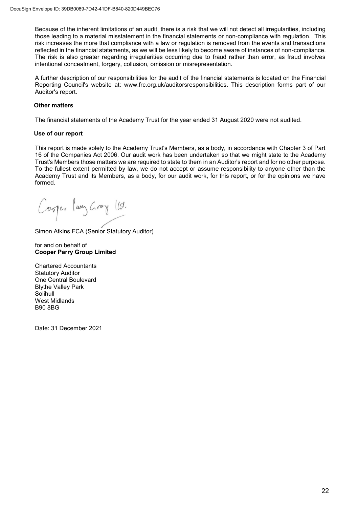Because of the inherent limitations of an audit, there is a risk that we will not detect all irregularities, including those leading to a material misstatement in the financial statements or non-compliance with regulation. This risk increases the more that compliance with a law or regulation is removed from the events and transactions reflected in the financial statements, as we will be less likely to become aware of instances of non-compliance. The risk is also greater regarding irregularities occurring due to fraud rather than error, as fraud involves intentional concealment, forgery, collusion, omission or misrepresentation.

A further description of our responsibilities for the audit of the financial statements is located on the Financial Reporting Council's website at: www.frc.org.uk/auditorsresponsibilities. This description forms part of our Auditor's report.

#### **Other matters**

The financial statements of the Academy Trust for the year ended 31 August 2020 were not audited.

#### **Use of our report**

This report is made solely to the Academy Trust's Members, as a body, in accordance with Chapter 3 of Part 16 of the Companies Act 2006. Our audit work has been undertaken so that we might state to the Academy Trust's Members those matters we are required to state to them in an Auditor's report and for no other purpose. To the fullest extent permitted by law, we do not accept or assume responsibility to anyone other than the Academy Trust and its Members, as a body, for our audit work, for this report, or for the opinions we have formed.

Cosper lang Groy 112.

Simon Atkins FCA (Senior Statutory Auditor)

for and on behalf of **Cooper Parry Group Limited** 

Chartered Accountants Statutory Auditor One Central Boulevard Blythe Valley Park Solihull West Midlands B90 8BG

Date: 31 December 2021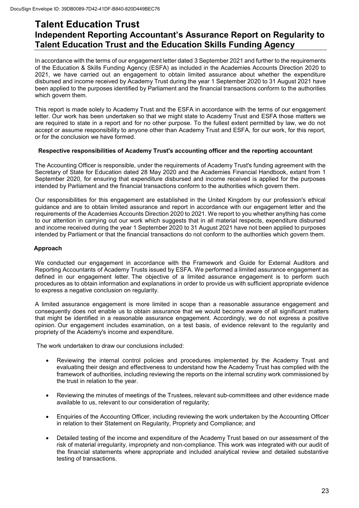### **Talent Education Trust Independent Reporting Accountant's Assurance Report on Regularity to Talent Education Trust and the Education Skills Funding Agency**

In accordance with the terms of our engagement letter dated 3 September 2021 and further to the requirements of the Education & Skills Funding Agency (ESFA) as included in the Academies Accounts Direction 2020 to 2021, we have carried out an engagement to obtain limited assurance about whether the expenditure disbursed and income received by Academy Trust during the year 1 September 2020 to 31 August 2021 have been applied to the purposes identified by Parliament and the financial transactions conform to the authorities which govern them.

This report is made solely to Academy Trust and the ESFA in accordance with the terms of our engagement letter. Our work has been undertaken so that we might state to Academy Trust and ESFA those matters we are required to state in a report and for no other purpose. To the fullest extent permitted by law, we do not accept or assume responsibility to anyone other than Academy Trust and ESFA, for our work, for this report, or for the conclusion we have formed.

#### **Respective responsibilities of Academy Trust's accounting officer and the reporting accountant**

The Accounting Officer is responsible, under the requirements of Academy Trust's funding agreement with the Secretary of State for Education dated 28 May 2020 and the Academies Financial Handbook, extant from 1 September 2020, for ensuring that expenditure disbursed and income received is applied for the purposes intended by Parliament and the financial transactions conform to the authorities which govern them.

Our responsibilities for this engagement are established in the United Kingdom by our profession's ethical guidance and are to obtain limited assurance and report in accordance with our engagement letter and the requirements of the Academies Accounts Direction 2020 to 2021. We report to you whether anything has come to our attention in carrying out our work which suggests that in all material respects, expenditure disbursed and income received during the year 1 September 2020 to 31 August 2021 have not been applied to purposes intended by Parliament or that the financial transactions do not conform to the authorities which govern them.

#### **Approach**

We conducted our engagement in accordance with the Framework and Guide for External Auditors and Reporting Accountants of Academy Trusts issued by ESFA. We performed a limited assurance engagement as defined in our engagement letter. The objective of a limited assurance engagement is to perform such procedures as to obtain information and explanations in order to provide us with sufficient appropriate evidence to express a negative conclusion on regularity.

A limited assurance engagement is more limited in scope than a reasonable assurance engagement and consequently does not enable us to obtain assurance that we would become aware of all significant matters that might be identified in a reasonable assurance engagement. Accordingly, we do not express a positive opinion. Our engagement includes examination, on a test basis, of evidence relevant to the regularity and propriety of the Academy's income and expenditure.

The work undertaken to draw our conclusions included:

- Reviewing the internal control policies and procedures implemented by the Academy Trust and evaluating their design and effectiveness to understand how the Academy Trust has complied with the framework of authorities, including reviewing the reports on the internal scrutiny work commissioned by the trust in relation to the year.
- Reviewing the minutes of meetings of the Trustees, relevant sub-committees and other evidence made available to us, relevant to our consideration of regularity;
- Enquiries of the Accounting Officer, including reviewing the work undertaken by the Accounting Officer in relation to their Statement on Regularity, Propriety and Compliance; and
- Detailed testing of the income and expenditure of the Academy Trust based on our assessment of the risk of material irregularity, impropriety and non-compliance. This work was integrated with our audit of the financial statements where appropriate and included analytical review and detailed substantive testing of transactions.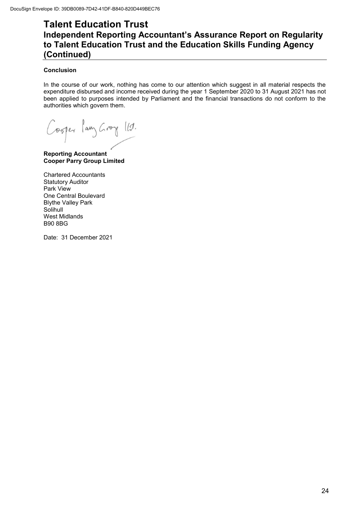### **Talent Education Trust Independent Reporting Accountant's Assurance Report on Regularity to Talent Education Trust and the Education Skills Funding Agency (Continued)**

#### **Conclusion**

In the course of our work, nothing has come to our attention which suggest in all material respects the expenditure disbursed and income received during the year 1 September 2020 to 31 August 2021 has not been applied to purposes intended by Parliament and the financial transactions do not conform to the authorities which govern them.

Cosper lang Groy 112.

**Reporting Accountant Cooper Parry Group Limited** 

Chartered Accountants Statutory Auditor Park View One Central Boulevard Blythe Valley Park Solihull West Midlands B90 8BG

Date: 31 December 2021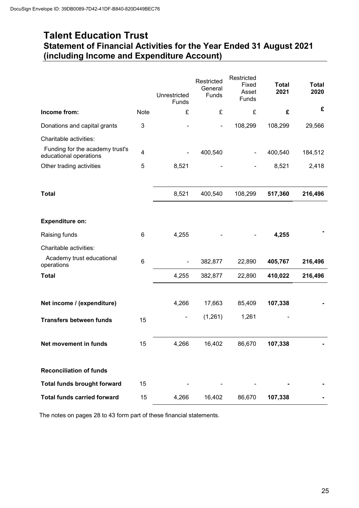### **Talent Education Trust Statement of Financial Activities for the Year Ended 31 August 2021 (including Income and Expenditure Account)**

|                                                           |             | Unrestricted<br>Funds        | Restricted<br>General<br>Funds | Restricted<br>Fixed<br>Asset<br><b>Funds</b> | <b>Total</b><br>2021 | <b>Total</b><br>2020 |
|-----------------------------------------------------------|-------------|------------------------------|--------------------------------|----------------------------------------------|----------------------|----------------------|
| Income from:                                              | <b>Note</b> | £                            | £                              | £                                            | £                    | £                    |
| Donations and capital grants                              | 3           |                              |                                | 108,299                                      | 108,299              | 29,566               |
| Charitable activities:                                    |             |                              |                                |                                              |                      |                      |
| Funding for the academy trust's<br>educational operations | 4           | $\qquad \qquad \blacksquare$ | 400,540                        |                                              | 400,540              | 184,512              |
| Other trading activities                                  | 5           | 8,521                        |                                |                                              | 8,521                | 2,418                |
|                                                           |             |                              |                                |                                              |                      |                      |
| <b>Total</b>                                              |             | 8,521                        | 400,540                        | 108,299                                      | 517,360              | 216,496              |
|                                                           |             |                              |                                |                                              |                      |                      |
| <b>Expenditure on:</b>                                    |             |                              |                                |                                              |                      |                      |
| Raising funds                                             | 6           | 4,255                        |                                |                                              | 4,255                |                      |
| Charitable activities:                                    |             |                              |                                |                                              |                      |                      |
| Academy trust educational<br>operations                   | 6           | $\overline{\phantom{a}}$     | 382,877                        | 22,890                                       | 405,767              | 216,496              |
| <b>Total</b>                                              |             | 4,255                        | 382,877                        | 22,890                                       | 410,022              | 216,496              |
|                                                           |             |                              |                                |                                              |                      |                      |
| Net income / (expenditure)                                |             | 4,266                        | 17,663                         | 85,409                                       | 107,338              |                      |
| <b>Transfers between funds</b>                            | 15          |                              | (1,261)                        | 1,261                                        |                      |                      |
|                                                           |             |                              |                                |                                              |                      |                      |
| Net movement in funds                                     | 15          | 4,266                        | 16,402                         | 86,670                                       | 107,338              |                      |
|                                                           |             |                              |                                |                                              |                      |                      |
| <b>Reconciliation of funds</b>                            |             |                              |                                |                                              |                      |                      |
| <b>Total funds brought forward</b>                        | 15          |                              |                                |                                              |                      |                      |
| <b>Total funds carried forward</b>                        | 15          | 4,266                        | 16,402                         | 86,670                                       | 107,338              |                      |

The notes on pages 28 to 43 form part of these financial statements.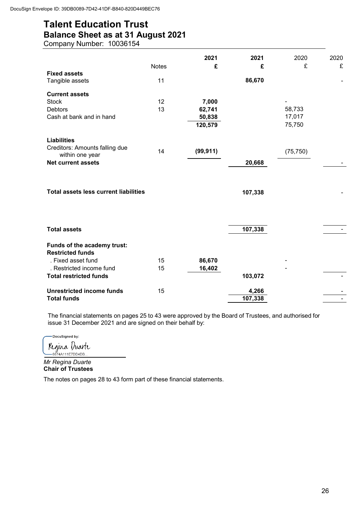### **Talent Education Trust Balance Sheet as at 31 August 2021**

Company Number: 10036154

|                                              | <b>Notes</b> | 2021<br>£ | 2021<br>£ | 2020<br>£ | 2020<br>£ |
|----------------------------------------------|--------------|-----------|-----------|-----------|-----------|
| <b>Fixed assets</b>                          |              |           |           |           |           |
| Tangible assets                              | 11           |           | 86,670    |           |           |
| <b>Current assets</b>                        |              |           |           |           |           |
| <b>Stock</b>                                 | 12           | 7,000     |           |           |           |
| <b>Debtors</b>                               | 13           | 62,741    |           | 58,733    |           |
| Cash at bank and in hand                     |              | 50,838    |           | 17,017    |           |
|                                              |              | 120,579   |           | 75,750    |           |
| <b>Liabilities</b>                           |              |           |           |           |           |
| Creditors: Amounts falling due               |              |           |           |           |           |
| within one year                              | 14           | (99, 911) |           | (75, 750) |           |
| <b>Net current assets</b>                    |              |           | 20,668    |           |           |
| <b>Total assets less current liabilities</b> |              |           | 107,338   |           |           |
| <b>Total assets</b>                          |              |           | 107,338   |           |           |
| Funds of the academy trust:                  |              |           |           |           |           |
| <b>Restricted funds</b>                      |              |           |           |           |           |
| . Fixed asset fund                           | 15           | 86,670    |           |           |           |
| . Restricted income fund                     | 15           | 16,402    |           |           |           |
| <b>Total restricted funds</b>                |              |           | 103,072   |           |           |
| <b>Unrestricted income funds</b>             | 15           |           | 4,266     |           |           |
| <b>Total funds</b>                           |              |           | 107,338   |           |           |

The financial statements on pages 25 to 43 were approved by the Board of Trustees, and authorised for issue 31 December 2021 and are signed on their behalf by:

-DocuSigned by: Regina Duarte

*Mr Regina Duarte*  **Chair of Trustees** 

The notes on pages 28 to 43 form part of these financial statements.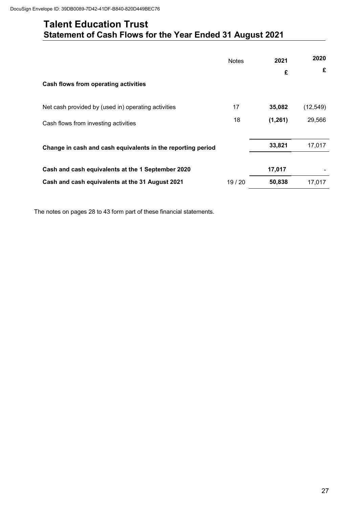### **Talent Education Trust Statement of Cash Flows for the Year Ended 31 August 2021**

|                                                             | <b>Notes</b> | 2021    | 2020<br>£ |
|-------------------------------------------------------------|--------------|---------|-----------|
| Cash flows from operating activities                        |              | £       |           |
| Net cash provided by (used in) operating activities         | 17           | 35,082  | (12, 549) |
| Cash flows from investing activities                        | 18           | (1,261) | 29,566    |
| Change in cash and cash equivalents in the reporting period |              | 33,821  | 17,017    |
| Cash and cash equivalents at the 1 September 2020           |              | 17,017  |           |
| Cash and cash equivalents at the 31 August 2021             | 19 / 20      | 50,838  | 17,017    |

The notes on pages 28 to 43 form part of these financial statements.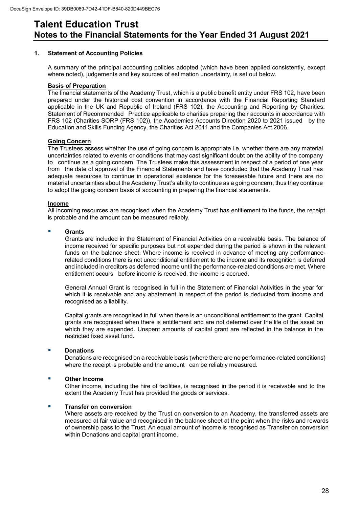#### **1. Statement of Accounting Policies**

A summary of the principal accounting policies adopted (which have been applied consistently, except where noted), judgements and key sources of estimation uncertainty, is set out below.

#### **Basis of Preparation**

 The financial statements of the Academy Trust, which is a public benefit entity under FRS 102, have been prepared under the historical cost convention in accordance with the Financial Reporting Standard applicable in the UK and Republic of Ireland (FRS 102), the Accounting and Reporting by Charities: Statement of Recommended Practice applicable to charities preparing their accounts in accordance with FRS 102 (Charities SORP (FRS 102)), the Academies Accounts Direction 2020 to 2021 issued by the Education and Skills Funding Agency, the Charities Act 2011 and the Companies Act 2006.

#### **Going Concern**

 The Trustees assess whether the use of going concern is appropriate i.e. whether there are any material uncertainties related to events or conditions that may cast significant doubt on the ability of the company to continue as a going concern. The Trustees make this assessment in respect of a period of one year from the date of approval of the Financial Statements and have concluded that the Academy Trust has adequate resources to continue in operational existence for the foreseeable future and there are no material uncertainties about the Academy Trust's ability to continue as a going concern, thus they continue to adopt the going concern basis of accounting in preparing the financial statements.

#### **Income**

 All incoming resources are recognised when the Academy Trust has entitlement to the funds, the receipt is probable and the amount can be measured reliably.

#### **Grants**

 Grants are included in the Statement of Financial Activities on a receivable basis. The balance of income received for specific purposes but not expended during the period is shown in the relevant funds on the balance sheet. Where income is received in advance of meeting any performancerelated conditions there is not unconditional entitlement to the income and its recognition is deferred and included in creditors as deferred income until the performance-related conditions are met. Where entitlement occurs before income is received, the income is accrued.

General Annual Grant is recognised in full in the Statement of Financial Activities in the year for which it is receivable and any abatement in respect of the period is deducted from income and recognised as a liability.

Capital grants are recognised in full when there is an unconditional entitlement to the grant. Capital grants are recognised when there is entitlement and are not deferred over the life of the asset on which they are expended. Unspent amounts of capital grant are reflected in the balance in the restricted fixed asset fund.

#### **E** Donations

Donations are recognised on a receivable basis (where there are no performance-related conditions) where the receipt is probable and the amount can be reliably measured.

#### **Other Income**

 Other income, including the hire of facilities, is recognised in the period it is receivable and to the extent the Academy Trust has provided the goods or services.

#### **Transfer on conversion**

Where assets are received by the Trust on conversion to an Academy, the transferred assets are measured at fair value and recognised in the balance sheet at the point when the risks and rewards of ownership pass to the Trust. An equal amount of income is recognised as Transfer on conversion within Donations and capital grant income.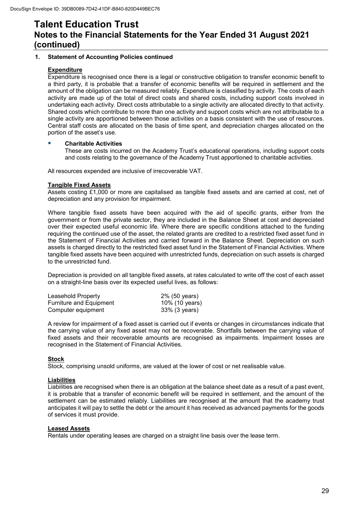#### **1. Statement of Accounting Policies continued**

#### **Expenditure**

Expenditure is recognised once there is a legal or constructive obligation to transfer economic benefit to a third party, it is probable that a transfer of economic benefits will be required in settlement and the amount of the obligation can be measured reliably. Expenditure is classified by activity. The costs of each activity are made up of the total of direct costs and shared costs, including support costs involved in undertaking each activity. Direct costs attributable to a single activity are allocated directly to that activity. Shared costs which contribute to more than one activity and support costs which are not attributable to a single activity are apportioned between those activities on a basis consistent with the use of resources. Central staff costs are allocated on the basis of time spent, and depreciation charges allocated on the portion of the asset's use.

#### **Charitable Activities**

 These are costs incurred on the Academy Trust's educational operations, including support costs and costs relating to the governance of the Academy Trust apportioned to charitable activities.

All resources expended are inclusive of irrecoverable VAT.

#### **Tangible Fixed Assets**

Assets costing £1,000 or more are capitalised as tangible fixed assets and are carried at cost, net of depreciation and any provision for impairment.

Where tangible fixed assets have been acquired with the aid of specific grants, either from the government or from the private sector, they are included in the Balance Sheet at cost and depreciated over their expected useful economic life. Where there are specific conditions attached to the funding requiring the continued use of the asset, the related grants are credited to a restricted fixed asset fund in the Statement of Financial Activities and carried forward in the Balance Sheet. Depreciation on such assets is charged directly to the restricted fixed asset fund in the Statement of Financial Activities. Where tangible fixed assets have been acquired with unrestricted funds, depreciation on such assets is charged to the unrestricted fund.

 Depreciation is provided on all tangible fixed assets, at rates calculated to write off the cost of each asset on a straight-line basis over its expected useful lives, as follows:

| Leasehold Property      | 2% (50 years)  |
|-------------------------|----------------|
| Furniture and Equipment | 10% (10 years) |
| Computer equipment      | 33% (3 years)  |

 A review for impairment of a fixed asset is carried out if events or changes in circumstances indicate that the carrying value of any fixed asset may not be recoverable. Shortfalls between the carrying value of fixed assets and their recoverable amounts are recognised as impairments. Impairment losses are recognised in the Statement of Financial Activities.

#### **Stock**

Stock, comprising unsold uniforms, are valued at the lower of cost or net realisable value.

#### **Liabilities**

Liabilities are recognised when there is an obligation at the balance sheet date as a result of a past event, it is probable that a transfer of economic benefit will be required in settlement, and the amount of the settlement can be estimated reliably. Liabilities are recognised at the amount that the academy trust anticipates it will pay to settle the debt or the amount it has received as advanced payments for the goods of services it must provide.

#### **Leased Assets**

Rentals under operating leases are charged on a straight line basis over the lease term.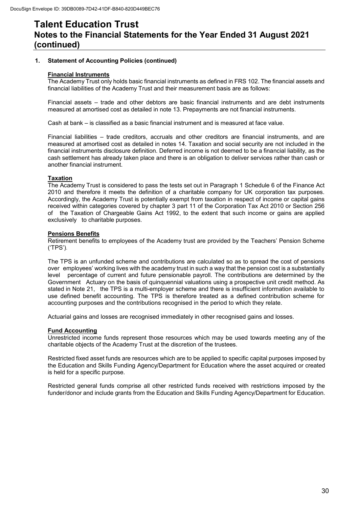#### **1. Statement of Accounting Policies (continued)**

#### **Financial Instruments**

The Academy Trust only holds basic financial instruments as defined in FRS 102. The financial assets and financial liabilities of the Academy Trust and their measurement basis are as follows:

Financial assets – trade and other debtors are basic financial instruments and are debt instruments measured at amortised cost as detailed in note 13. Prepayments are not financial instruments.

Cash at bank – is classified as a basic financial instrument and is measured at face value.

Financial liabilities – trade creditors, accruals and other creditors are financial instruments, and are measured at amortised cost as detailed in notes 14. Taxation and social security are not included in the financial instruments disclosure definition. Deferred income is not deemed to be a financial liability, as the cash settlement has already taken place and there is an obligation to deliver services rather than cash or another financial instrument.

#### **Taxation**

The Academy Trust is considered to pass the tests set out in Paragraph 1 Schedule 6 of the Finance Act 2010 and therefore it meets the definition of a charitable company for UK corporation tax purposes. Accordingly, the Academy Trust is potentially exempt from taxation in respect of income or capital gains received within categories covered by chapter 3 part 11 of the Corporation Tax Act 2010 or Section 256 of the Taxation of Chargeable Gains Act 1992, to the extent that such income or gains are applied exclusively to charitable purposes.

#### **Pensions Benefits**

Retirement benefits to employees of the Academy trust are provided by the Teachers' Pension Scheme ('TPS').

The TPS is an unfunded scheme and contributions are calculated so as to spread the cost of pensions over employees' working lives with the academy trust in such a way that the pension cost is a substantially level percentage of current and future pensionable payroll. The contributions are determined by the percentage of current and future pensionable payroll. The contributions are determined by the Government Actuary on the basis of quinquennial valuations using a prospective unit credit method. As stated in Note 21, the TPS is a multi-employer scheme and there is insufficient information available to use defined benefit accounting. The TPS is therefore treated as a defined contribution scheme for accounting purposes and the contributions recognised in the period to which they relate.

Actuarial gains and losses are recognised immediately in other recognised gains and losses.

#### **Fund Accounting**

Unrestricted income funds represent those resources which may be used towards meeting any of the charitable objects of the Academy Trust at the discretion of the trustees.

 Restricted fixed asset funds are resources which are to be applied to specific capital purposes imposed by the Education and Skills Funding Agency/Department for Education where the asset acquired or created is held for a specific purpose.

 Restricted general funds comprise all other restricted funds received with restrictions imposed by the funder/donor and include grants from the Education and Skills Funding Agency/Department for Education.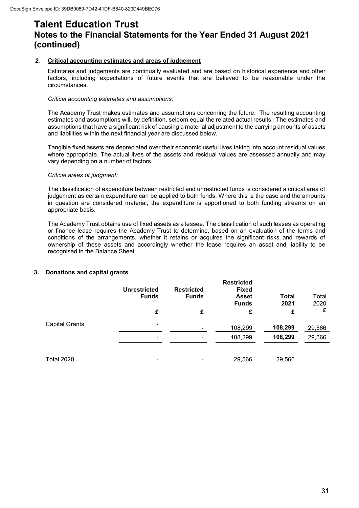#### *2.* **Critical accounting estimates and areas of judgement**

Estimates and judgements are continually evaluated and are based on historical experience and other factors, including expectations of future events that are believed to be reasonable under the circumstances.

#### *Critical accounting estimates and assumptions:*

The Academy Trust makes estimates and assumptions concerning the future. The resulting accounting estimates and assumptions will, by definition, seldom equal the related actual results. The estimates and assumptions that have a significant risk of causing a material adjustment to the carrying amounts of assets and liabilities within the next financial year are discussed below.

Tangible fixed assets are depreciated over their economic useful lives taking into account residual values where appropriate. The actual lives of the assets and residual values are assessed annually and may vary depending on a number of factors.

#### *Critical areas of judgment:*

The classification of expenditure between restricted and unrestricted funds is considered a critical area of judgement as certain expenditure can be applied to both funds. Where this is the case and the amounts in question are considered material, the expenditure is apportioned to both funding streams on an appropriate basis.

The Academy Trust obtains use of fixed assets as a lessee. The classification of such leases as operating or finance lease requires the Academy Trust to determine, based on an evaluation of the terms and conditions of the arrangements, whether it retains or acquires the significant risks and rewards of ownership of these assets and accordingly whether the lease requires an asset and liability to be recognised in the Balance Sheet.

#### **3. Donations and capital grants**

|                       | <b>Unrestricted</b><br><b>Funds</b> | <b>Restricted</b><br><b>Funds</b> | <b>Restricted</b><br><b>Fixed</b><br><b>Asset</b><br><b>Funds</b> | <b>Total</b><br>2021 | Total<br>2020 |
|-----------------------|-------------------------------------|-----------------------------------|-------------------------------------------------------------------|----------------------|---------------|
|                       | £                                   | £                                 | £                                                                 | £                    | £             |
| <b>Capital Grants</b> | $\overline{\phantom{a}}$            |                                   | 108,299                                                           | 108,299              | 29,566        |
|                       | $\overline{\phantom{a}}$            |                                   | 108,299                                                           | 108,299              | 29,566        |
|                       |                                     |                                   |                                                                   |                      |               |
| <b>Total 2020</b>     | $\overline{\phantom{a}}$            |                                   | 29,566                                                            | 29,566               |               |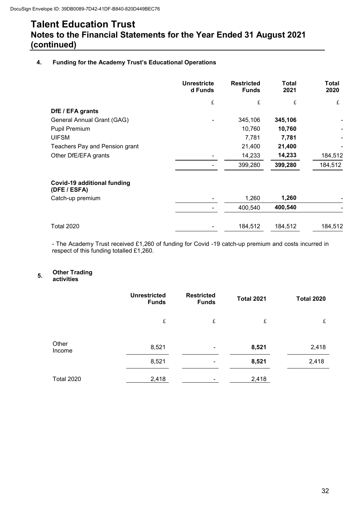#### **4. Funding for the Academy Trust's Educational Operations**

|                                             | <b>Unrestricte</b><br>d Funds | <b>Restricted</b><br><b>Funds</b> | Total<br>2021 | Total<br>2020 |
|---------------------------------------------|-------------------------------|-----------------------------------|---------------|---------------|
|                                             | £                             | £                                 | £             | £             |
| DfE / EFA grants                            |                               |                                   |               |               |
| General Annual Grant (GAG)                  |                               | 345,106                           | 345,106       |               |
| Pupil Premium                               |                               | 10,760                            | 10,760        |               |
| <b>UIFSM</b>                                |                               | 7,781                             | 7,781         |               |
| Teachers Pay and Pension grant              |                               | 21,400                            | 21,400        |               |
| Other DfE/EFA grants                        |                               | 14,233                            | 14,233        | 184,512       |
|                                             |                               | 399,280                           | 399,280       | 184,512       |
| Covid-19 additional funding<br>(DFE / ESFA) |                               |                                   |               |               |
| Catch-up premium                            |                               | 1,260                             | 1,260         |               |
|                                             |                               | 400,540                           | 400,540       |               |
| <b>Total 2020</b>                           |                               | 184,512                           | 184,512       | 184,512       |

- The Academy Trust received £1,260 of funding for Covid -19 catch-up premium and costs incurred in respect of this funding totalled £1,260.

## **5. Other Trading activities**

|                   | <b>Unrestricted</b><br><b>Funds</b> | <b>Restricted</b><br><b>Funds</b> | <b>Total 2021</b> | <b>Total 2020</b> |
|-------------------|-------------------------------------|-----------------------------------|-------------------|-------------------|
|                   | £                                   | $\pounds$                         | $\pounds$         | $\pounds$         |
| Other<br>Income   | 8,521                               |                                   | 8,521             | 2,418             |
|                   | 8,521                               |                                   | 8,521             | 2,418             |
| <b>Total 2020</b> | 2,418                               |                                   | 2,418             |                   |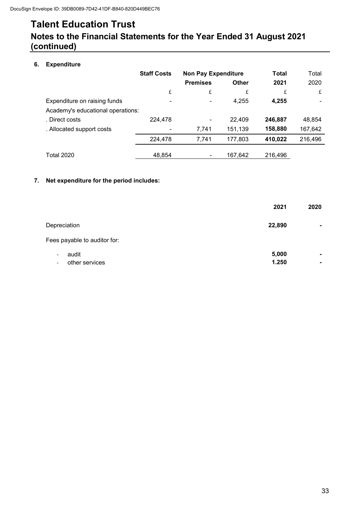### **Notes to the Financial Statements for the Year Ended 31 August 2021 (continued)**

### **6. Expenditure**

|                                   | <b>Staff Costs</b> | <b>Non Pay Expenditure</b> |              | <b>Total</b> | Total   |
|-----------------------------------|--------------------|----------------------------|--------------|--------------|---------|
|                                   |                    | <b>Premises</b>            | <b>Other</b> | 2021         | 2020    |
|                                   | £                  | £                          | £            | £            | £       |
| Expenditure on raising funds      |                    | -                          | 4,255        | 4,255        |         |
| Academy's educational operations: |                    |                            |              |              |         |
| . Direct costs                    | 224,478            | -                          | 22,409       | 246,887      | 48,854  |
| . Allocated support costs         |                    | 7,741                      | 151,139      | 158,880      | 167,642 |
|                                   | 224,478            | 7,741                      | 177,803      | 410,022      | 216,496 |
| <b>Total 2020</b>                 | 48,854             | $\overline{\phantom{a}}$   | 167.642      | 216.496      |         |

#### **7. Net expenditure for the period includes:**

|                                                                                 | 2021           | 2020                             |
|---------------------------------------------------------------------------------|----------------|----------------------------------|
| Depreciation                                                                    | 22,890         | $\blacksquare$                   |
| Fees payable to auditor for:                                                    |                |                                  |
| audit<br>$\overline{\phantom{a}}$<br>other services<br>$\overline{\phantom{a}}$ | 5,000<br>1.250 | $\blacksquare$<br>$\blacksquare$ |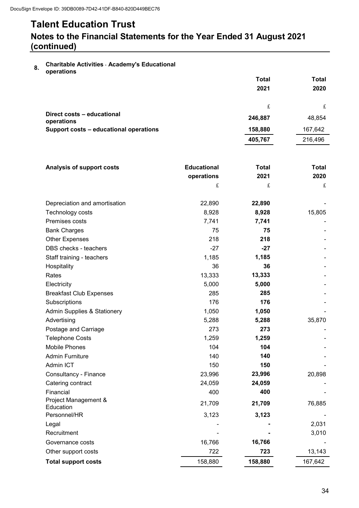### **Notes to the Financial Statements for the Year Ended 31 August 2021 (continued)**

**8. Charitable Activities** - **Academy's Educational operations** 

|                                          | <b>Total</b> | Total   |
|------------------------------------------|--------------|---------|
|                                          | 2021         | 2020    |
|                                          |              |         |
|                                          | £            |         |
| Direct costs - educational<br>operations | 246,887      | 48,854  |
| Support costs - educational operations   | 158,880      | 167,642 |
|                                          | 405,767      | 216,496 |

| <b>Analysis of support costs</b>       | <b>Educational</b> | <b>Total</b> | Total       |
|----------------------------------------|--------------------|--------------|-------------|
|                                        | operations         | 2021         | 2020        |
|                                        | £                  | £            | $\mathbf f$ |
|                                        |                    |              |             |
| Depreciation and amortisation          | 22,890             | 22,890       |             |
| Technology costs                       | 8,928              | 8,928        | 15,805      |
| Premises costs                         | 7,741              | 7,741        |             |
| <b>Bank Charges</b>                    | 75                 | 75           |             |
| <b>Other Expenses</b>                  | 218                | 218          |             |
| DBS checks - teachers                  | $-27$              | $-27$        |             |
| Staff training - teachers              | 1,185              | 1,185        |             |
| Hospitality                            | 36                 | 36           |             |
| Rates                                  | 13,333             | 13,333       |             |
| Electricity                            | 5,000              | 5,000        |             |
| <b>Breakfast Club Expenses</b>         | 285                | 285          |             |
| Subscriptions                          | 176                | 176          |             |
| <b>Admin Supplies &amp; Stationery</b> | 1,050              | 1,050        |             |
| Advertising                            | 5,288              | 5,288        | 35,870      |
| Postage and Carriage                   | 273                | 273          |             |
| <b>Telephone Costs</b>                 | 1,259              | 1,259        |             |
| <b>Mobile Phones</b>                   | 104                | 104          |             |
| <b>Admin Furniture</b>                 | 140                | 140          |             |
| Admin ICT                              | 150                | 150          |             |
| Consultancy - Finance                  | 23,996             | 23,996       | 20,898      |
| Catering contract                      | 24,059             | 24,059       |             |
| Financial                              | 400                | 400          |             |
| Project Management &<br>Education      | 21,709             | 21,709       | 76,885      |
| Personnel/HR                           | 3,123              | 3,123        |             |
| Legal                                  |                    |              | 2,031       |
| Recruitment                            |                    |              | 3,010       |
| Governance costs                       | 16,766             | 16,766       |             |
|                                        |                    | 723          |             |
| Other support costs                    | 722                |              | 13,143      |
| <b>Total support costs</b>             | 158,880            | 158,880      | 167,642     |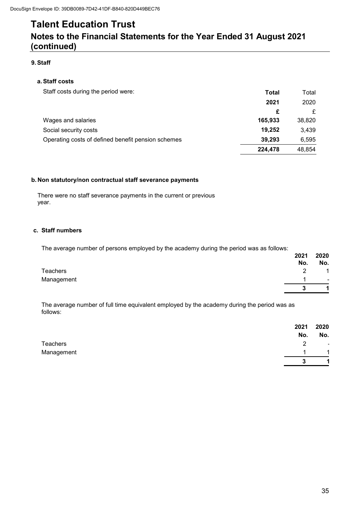### **Notes to the Financial Statements for the Year Ended 31 August 2021 (continued)**

#### **9. Staff**

#### **a.Staff costs**

| Staff costs during the period were:                | Total   | Total  |
|----------------------------------------------------|---------|--------|
|                                                    | 2021    | 2020   |
|                                                    | £       | £      |
| Wages and salaries                                 | 165.933 | 38,820 |
| Social security costs                              | 19,252  | 3,439  |
| Operating costs of defined benefit pension schemes | 39,293  | 6,595  |
|                                                    | 224,478 | 48,854 |

#### **b. Non statutory/non contractual staff severance payments**

There were no staff severance payments in the current or previous year.

#### **c. Staff numbers**

The average number of persons employed by the academy during the period was as follows:

|            | 2021<br>No. | 2020<br>No.    |
|------------|-------------|----------------|
| Teachers   | າ<br>_      | $\overline{A}$ |
| Management |             | $\blacksquare$ |
|            | 3           | $\overline{A}$ |

 The average number of full time equivalent employed by the academy during the period was as follows:

|            | 2021               | 2020                 |
|------------|--------------------|----------------------|
|            | No.                | No.                  |
| Teachers   | $\mathcal{P}$<br>▃ | $\blacksquare$       |
| Management |                    | $\overline{1}$       |
|            | 3                  | $\blacktriangleleft$ |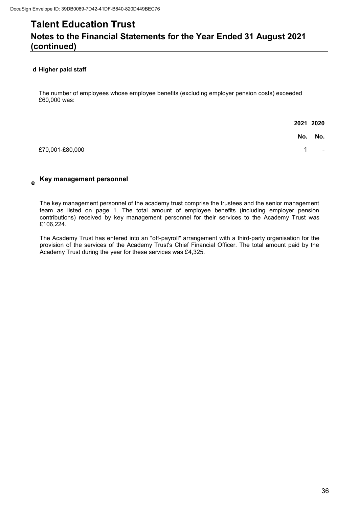#### **d Higher paid staff**

The number of employees whose employee benefits (excluding employer pension costs) exceeded £60,000 was:

|                 |                | 2021 2020      |
|-----------------|----------------|----------------|
|                 |                | No. No.        |
| £70,001-£80,000 | $\overline{1}$ | $\blacksquare$ |

#### **e Key management personnel**

The key management personnel of the academy trust comprise the trustees and the senior management team as listed on page 1. The total amount of employee benefits (including employer pension contributions) received by key management personnel for their services to the Academy Trust was £106,224.

The Academy Trust has entered into an "off-payroll" arrangement with a third-party organisation for the provision of the services of the Academy Trust's Chief Financial Officer. The total amount paid by the Academy Trust during the year for these services was £4,325.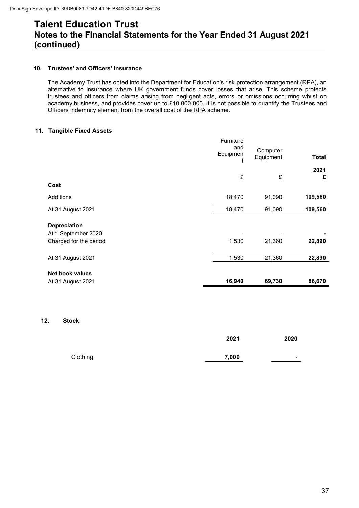#### **10. Trustees' and Officers' Insurance**

The Academy Trust has opted into the Department for Education's risk protection arrangement (RPA), an alternative to insurance where UK government funds cover losses that arise. This scheme protects trustees and officers from claims arising from negligent acts, errors or omissions occurring whilst on academy business, and provides cover up to £10,000,000. It is not possible to quantify the Trustees and Officers indemnity element from the overall cost of the RPA scheme.

#### **11. Tangible Fixed Assets**

| Net book values<br>At 31 August 2021 | 16,940          | 69,730                | 86,670       |
|--------------------------------------|-----------------|-----------------------|--------------|
| At 31 August 2021                    | 1,530           | 21,360                | 22,890       |
|                                      |                 |                       |              |
| Charged for the period               | 1,530           | 21,360                | 22,890       |
| At 1 September 2020                  |                 |                       |              |
| <b>Depreciation</b>                  |                 |                       |              |
| At 31 August 2021                    | 18,470          | 91,090                | 109,560      |
| Additions                            | 18,470          | 91,090                | 109,560      |
| Cost                                 |                 |                       |              |
|                                      | £               | £                     | £            |
|                                      |                 |                       | 2021         |
|                                      | and<br>Equipmen | Computer<br>Equipment | <b>Total</b> |
|                                      | Furniture       |                       |              |

#### **12. Stock**

|          | 2021  | 2020                     |
|----------|-------|--------------------------|
| Clothing | 7,000 | $\overline{\phantom{0}}$ |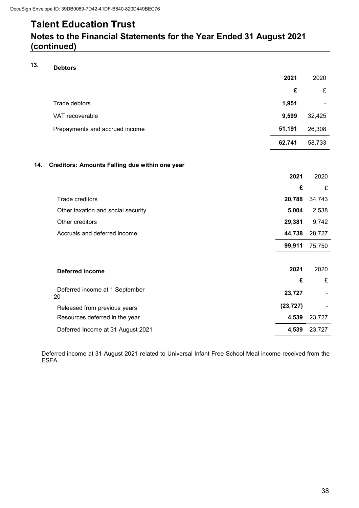### **Notes to the Financial Statements for the Year Ended 31 August 2021 (continued)**

### **13. Debtors**

|                                                       | 2021      | 2020                     |
|-------------------------------------------------------|-----------|--------------------------|
|                                                       | £         | £                        |
| Trade debtors                                         | 1,951     | $\overline{\phantom{a}}$ |
| VAT recoverable                                       | 9,599     | 32,425                   |
| Prepayments and accrued income                        | 51,191    | 26,308                   |
|                                                       | 62,741    | 58,733                   |
| Creditors: Amounts Falling due within one year<br>14. |           |                          |
|                                                       | 2021      | 2020                     |
|                                                       | £         | £                        |
| <b>Trade creditors</b>                                | 20,788    | 34,743                   |
| Other taxation and social security                    | 5,004     | 2,538                    |
| Other creditors                                       | 29,381    | 9,742                    |
| Accruals and deferred income                          | 44,738    | 28,727                   |
|                                                       | 99,911    | 75,750                   |
|                                                       |           |                          |
| <b>Deferred income</b>                                | 2021      | 2020                     |
|                                                       | £         | £                        |
| Deferred income at 1 September<br>20                  | 23,727    |                          |
| Released from previous years                          | (23, 727) |                          |
| Resources deferred in the year                        | 4,539     | 23,727                   |
| Deferred Income at 31 August 2021                     | 4,539     | 23,727                   |

Deferred income at 31 August 2021 related to Universal Infant Free School Meal income received from the ESFA.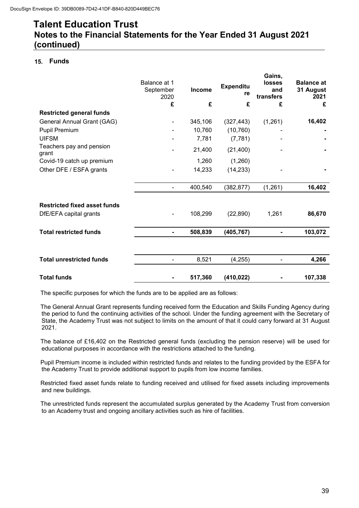#### **15. Funds**

|                                     | Balance at 1<br>September<br>2020 | <b>Income</b> | <b>Expenditu</b><br>re | Gains,<br>losses<br>and<br>transfers | <b>Balance at</b><br>31 August<br>2021 |
|-------------------------------------|-----------------------------------|---------------|------------------------|--------------------------------------|----------------------------------------|
|                                     | £                                 | £             | £                      | £                                    | £                                      |
| <b>Restricted general funds</b>     |                                   |               |                        |                                      |                                        |
| General Annual Grant (GAG)          | $\overline{\phantom{a}}$          | 345,106       | (327, 443)             | (1,261)                              | 16,402                                 |
| Pupil Premium                       |                                   | 10,760        | (10, 760)              |                                      |                                        |
| <b>UIFSM</b>                        |                                   | 7,781         | (7, 781)               |                                      |                                        |
| Teachers pay and pension<br>grant   | $\overline{\phantom{a}}$          | 21,400        | (21, 400)              |                                      |                                        |
| Covid-19 catch up premium           |                                   | 1,260         | (1,260)                |                                      |                                        |
| Other DFE / ESFA grants             |                                   | 14,233        | (14, 233)              |                                      |                                        |
|                                     |                                   | 400,540       | (382, 877)             | (1, 261)                             | 16,402                                 |
| <b>Restricted fixed asset funds</b> |                                   |               |                        |                                      |                                        |
| DfE/EFA capital grants              | $\overline{\phantom{a}}$          | 108,299       | (22, 890)              | 1,261                                | 86,670                                 |
| <b>Total restricted funds</b>       | $\blacksquare$                    | 508,839       | (405, 767)             |                                      | 103,072                                |
|                                     |                                   |               |                        |                                      |                                        |
| <b>Total unrestricted funds</b>     | $\overline{\phantom{a}}$          | 8,521         | (4,255)                |                                      | 4,266                                  |
| <b>Total funds</b>                  |                                   | 517,360       | (410, 022)             |                                      | 107,338                                |

The specific purposes for which the funds are to be applied are as follows:

The General Annual Grant represents funding received form the Education and Skills Funding Agency during the period to fund the continuing activities of the school. Under the funding agreement with the Secretary of State, the Academy Trust was not subject to limits on the amount of that it could carry forward at 31 August 2021.

The balance of £16,402 on the Restricted general funds (excluding the pension reserve) will be used for educational purposes in accordance with the restrictions attached to the funding.

Pupil Premium income is included within restricted funds and relates to the funding provided by the ESFA for the Academy Trust to provide additional support to pupils from low income families.

Restricted fixed asset funds relate to funding received and utilised for fixed assets including improvements and new buildings.

The unrestricted funds represent the accumulated surplus generated by the Academy Trust from conversion to an Academy trust and ongoing ancillary activities such as hire of facilities.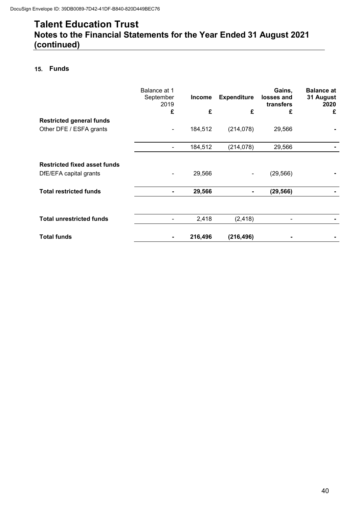#### **15. Funds**

|                                     | Balance at 1<br>September<br>2019 | <b>Income</b> | <b>Expenditure</b>       | Gains,<br>losses and<br>transfers | <b>Balance at</b><br>31 August<br>2020 |
|-------------------------------------|-----------------------------------|---------------|--------------------------|-----------------------------------|----------------------------------------|
|                                     | £                                 | £             | £                        | £                                 | £                                      |
| <b>Restricted general funds</b>     |                                   |               |                          |                                   |                                        |
| Other DFE / ESFA grants             | $\overline{\phantom{a}}$          | 184,512       | (214, 078)               | 29,566                            |                                        |
|                                     | $\qquad \qquad \blacksquare$      | 184,512       | (214, 078)               | 29,566                            |                                        |
| <b>Restricted fixed asset funds</b> |                                   |               |                          |                                   |                                        |
| DfE/EFA capital grants              |                                   | 29,566        | $\overline{\phantom{a}}$ | (29, 566)                         |                                        |
| <b>Total restricted funds</b>       |                                   | 29,566        | ۰.                       | (29, 566)                         |                                        |
|                                     |                                   |               |                          |                                   |                                        |
| <b>Total unrestricted funds</b>     |                                   | 2,418         | (2, 418)                 |                                   |                                        |
| <b>Total funds</b>                  |                                   | 216,496       | (216, 496)               |                                   |                                        |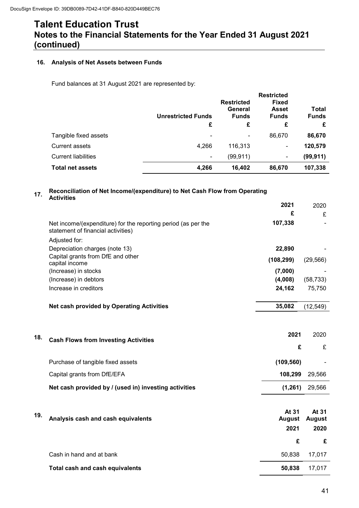#### **16. Analysis of Net Assets between Funds**

Fund balances at 31 August 2021 are represented by:

|                            | <b>Unrestricted Funds</b> | <b>Restricted</b><br>General<br><b>Funds</b> | <b>Restricted</b><br><b>Fixed</b><br><b>Asset</b><br><b>Funds</b> | Total<br><b>Funds</b> |
|----------------------------|---------------------------|----------------------------------------------|-------------------------------------------------------------------|-----------------------|
|                            | £                         | £                                            | £                                                                 | £                     |
| Tangible fixed assets      |                           | $\overline{\phantom{a}}$                     | 86,670                                                            | 86,670                |
| <b>Current assets</b>      | 4,266                     | 116,313                                      | -                                                                 | 120,579               |
| <b>Current liabilities</b> | -                         | (99, 911)                                    | $\overline{\phantom{a}}$                                          | (99, 911)             |
| <b>Total net assets</b>    | 4,266                     | 16,402                                       | 86,670                                                            | 107,338               |

#### **17. Reconciliation of Net Income/(expenditure) to Net Cash Flow from Operating Activities**

|     |                                                                                                     | 2021          | 2020          |
|-----|-----------------------------------------------------------------------------------------------------|---------------|---------------|
|     |                                                                                                     | £             | £             |
|     | Net income/(expenditure) for the reporting period (as per the<br>statement of financial activities) | 107,338       |               |
|     | Adjusted for:                                                                                       |               |               |
|     | Depreciation charges (note 13)                                                                      | 22,890        |               |
|     | Capital grants from DfE and other                                                                   | (108, 299)    | (29, 566)     |
|     | capital income<br>(Increase) in stocks                                                              | (7,000)       |               |
|     | (Increase) in debtors                                                                               | (4,008)       | (58, 733)     |
|     | Increase in creditors                                                                               | 24,162        | 75,750        |
|     | <b>Net cash provided by Operating Activities</b>                                                    | 35,082        | (12, 549)     |
|     |                                                                                                     |               |               |
| 18. | <b>Cash Flows from Investing Activities</b>                                                         | 2021          | 2020          |
|     |                                                                                                     | £             | £             |
|     | Purchase of tangible fixed assets                                                                   | (109, 560)    |               |
|     | Capital grants from DfE/EFA                                                                         | 108,299       | 29,566        |
|     | Net cash provided by / (used in) investing activities                                               | (1, 261)      | 29,566        |
|     |                                                                                                     |               |               |
| 19. |                                                                                                     | At 31         | At 31         |
|     | Analysis cash and cash equivalents                                                                  | <b>August</b> | <b>August</b> |
|     |                                                                                                     | 2021          | 2020          |
|     |                                                                                                     | £             | £             |
|     | Cash in hand and at bank                                                                            | 50,838        | 17,017        |
|     | <b>Total cash and cash equivalents</b>                                                              | 50,838        | 17,017        |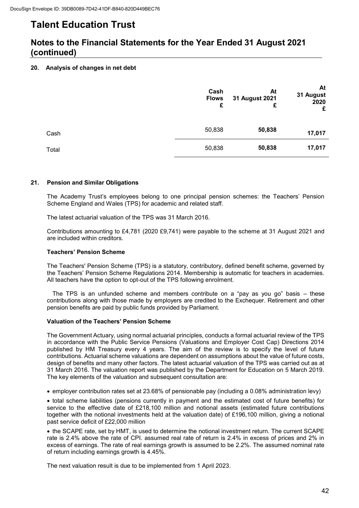### **Notes to the Financial Statements for the Year Ended 31 August 2021 (continued)**

#### **20. Analysis of changes in net debt**

|       | Cash<br><b>Flows</b><br>£ | At<br>31 August 2021<br>£ | At<br>31 August<br>2020<br>£ |
|-------|---------------------------|---------------------------|------------------------------|
| Cash  | 50,838                    | 50,838                    | 17,017                       |
| Total | 50,838                    | 50,838                    | 17,017                       |

#### **21. Pension and Similar Obligations**

The Academy Trust's employees belong to one principal pension schemes: the Teachers' Pension Scheme England and Wales (TPS) for academic and related staff.

The latest actuarial valuation of the TPS was 31 March 2016.

Contributions amounting to £4,781 (2020 £9,741) were payable to the scheme at 31 August 2021 and are included within creditors.

#### **Teachers' Pension Scheme**

The Teachers' Pension Scheme (TPS) is a statutory, contributory, defined benefit scheme, governed by the Teachers' Pension Scheme Regulations 2014. Membership is automatic for teachers in academies. All teachers have the option to opt-out of the TPS following enrolment.

The TPS is an unfunded scheme and members contribute on a "pay as you go" basis – these contributions along with those made by employers are credited to the Exchequer. Retirement and other pension benefits are paid by public funds provided by Parliament.

#### **Valuation of the Teachers' Pension Scheme**

The Government Actuary, using normal actuarial principles, conducts a formal actuarial review of the TPS in accordance with the Public Service Pensions (Valuations and Employer Cost Cap) Directions 2014 published by HM Treasury every 4 years. The aim of the review is to specify the level of future contributions. Actuarial scheme valuations are dependent on assumptions about the value of future costs, design of benefits and many other factors. The latest actuarial valuation of the TPS was carried out as at 31 March 2016. The valuation report was published by the Department for Education on 5 March 2019. The key elements of the valuation and subsequent consultation are:

employer contribution rates set at 23.68% of pensionable pay (including a 0.08% administration levy)

 total scheme liabilities (pensions currently in payment and the estimated cost of future benefits) for service to the effective date of £218,100 million and notional assets (estimated future contributions together with the notional investments held at the valuation date) of £196,100 million, giving a notional past service deficit of £22,000 million

 the SCAPE rate, set by HMT, is used to determine the notional investment return. The current SCAPE rate is 2.4% above the rate of CPI. assumed real rate of return is 2.4% in excess of prices and 2% in excess of earnings. The rate of real earnings growth is assumed to be 2.2%. The assumed nominal rate of return including earnings growth is 4.45%.

The next valuation result is due to be implemented from 1 April 2023.